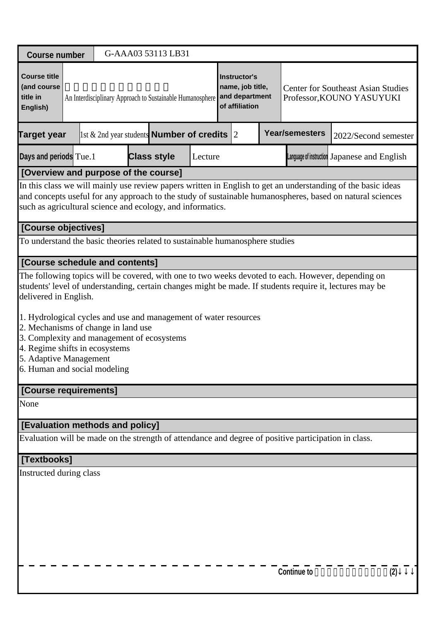| <b>Course number</b>                                                                                                                                                                                                                                                                    |                     |                                                                       | G-AAA03 53113 LB31                                                                                                                                                                                                         |         |  |                                                                      |  |                       |                                                                        |  |  |
|-----------------------------------------------------------------------------------------------------------------------------------------------------------------------------------------------------------------------------------------------------------------------------------------|---------------------|-----------------------------------------------------------------------|----------------------------------------------------------------------------------------------------------------------------------------------------------------------------------------------------------------------------|---------|--|----------------------------------------------------------------------|--|-----------------------|------------------------------------------------------------------------|--|--|
| <b>Course title</b><br>(and course<br>title in<br>English)                                                                                                                                                                                                                              |                     |                                                                       | An Interdisciplinary Approach to Sustainable Humanosphere                                                                                                                                                                  |         |  | Instructor's<br>name, job title,<br>and department<br>of affiliation |  |                       | <b>Center for Southeast Asian Studies</b><br>Professor, KOUNO YASUYUKI |  |  |
| Target year                                                                                                                                                                                                                                                                             |                     |                                                                       | 1st $\&$ 2nd year students <b>Number of credits</b> 2                                                                                                                                                                      |         |  |                                                                      |  | <b>Year/semesters</b> | 2022/Second semester                                                   |  |  |
| Days and periods Tue.1                                                                                                                                                                                                                                                                  |                     |                                                                       | <b>Class style</b>                                                                                                                                                                                                         | Lecture |  |                                                                      |  |                       | Language of instruction Japanese and English                           |  |  |
|                                                                                                                                                                                                                                                                                         |                     |                                                                       | [Overview and purpose of the course]                                                                                                                                                                                       |         |  |                                                                      |  |                       |                                                                        |  |  |
| In this class we will mainly use review papers written in English to get an understanding of the basic ideas<br>and concepts useful for any approach to the study of sustainable humanospheres, based on natural sciences<br>such as agricultural science and ecology, and informatics. |                     |                                                                       |                                                                                                                                                                                                                            |         |  |                                                                      |  |                       |                                                                        |  |  |
|                                                                                                                                                                                                                                                                                         | [Course objectives] |                                                                       |                                                                                                                                                                                                                            |         |  |                                                                      |  |                       |                                                                        |  |  |
|                                                                                                                                                                                                                                                                                         |                     |                                                                       | To understand the basic theories related to sustainable humanosphere studies                                                                                                                                               |         |  |                                                                      |  |                       |                                                                        |  |  |
|                                                                                                                                                                                                                                                                                         |                     | [Course schedule and contents]                                        |                                                                                                                                                                                                                            |         |  |                                                                      |  |                       |                                                                        |  |  |
| delivered in English.<br>5. Adaptive Management<br>6. Human and social modeling                                                                                                                                                                                                         |                     | 2. Mechanisms of change in land use<br>4. Regime shifts in ecosystems | students' level of understanding, certain changes might be made. If students require it, lectures may be<br>1. Hydrological cycles and use and management of water resources<br>3. Complexity and management of ecosystems |         |  |                                                                      |  |                       |                                                                        |  |  |
| [Course requirements]                                                                                                                                                                                                                                                                   |                     |                                                                       |                                                                                                                                                                                                                            |         |  |                                                                      |  |                       |                                                                        |  |  |
| None                                                                                                                                                                                                                                                                                    |                     |                                                                       |                                                                                                                                                                                                                            |         |  |                                                                      |  |                       |                                                                        |  |  |
|                                                                                                                                                                                                                                                                                         |                     | [Evaluation methods and policy]                                       |                                                                                                                                                                                                                            |         |  |                                                                      |  |                       |                                                                        |  |  |
|                                                                                                                                                                                                                                                                                         |                     |                                                                       | Evaluation will be made on the strength of attendance and degree of positive participation in class.                                                                                                                       |         |  |                                                                      |  |                       |                                                                        |  |  |
|                                                                                                                                                                                                                                                                                         | [Textbooks]         |                                                                       |                                                                                                                                                                                                                            |         |  |                                                                      |  |                       |                                                                        |  |  |
| Instructed during class                                                                                                                                                                                                                                                                 |                     |                                                                       |                                                                                                                                                                                                                            |         |  |                                                                      |  |                       |                                                                        |  |  |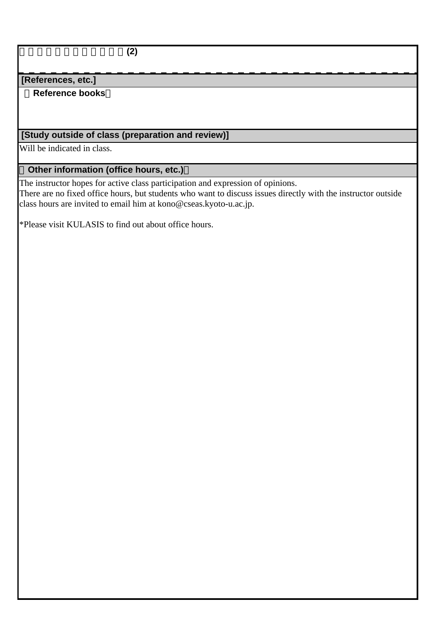持続型生存基盤研究の方法**(2)**

#### **[References, etc.]**

#### **Reference books**

# **[Study outside of class (preparation and review)]**

Will be indicated in class.

### **Other information (office hours, etc.)**

The instructor hopes for active class participation and expression of opinions.

There are no fixed office hours, but students who want to discuss issues directly with the instructor outside class hours are invited to email him at kono@cseas.kyoto-u.ac.jp.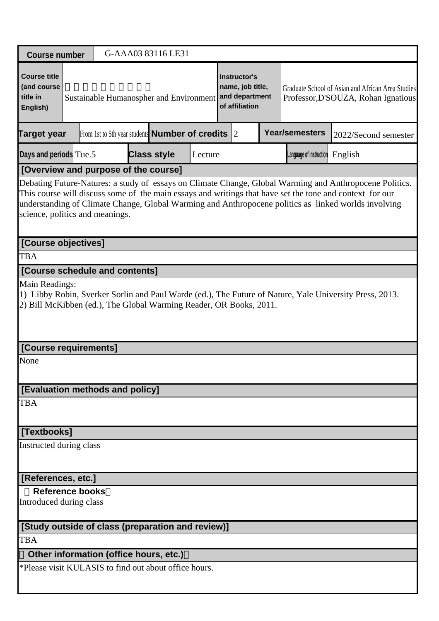| <b>Course number</b>                                       |                                                                                                                                                                                                 |  |  |  | G-AAA03 83116 LE31                                           |         |  |                                                                             |  |                                   |                                                                                                                                                                                                                                                                                                                             |
|------------------------------------------------------------|-------------------------------------------------------------------------------------------------------------------------------------------------------------------------------------------------|--|--|--|--------------------------------------------------------------|---------|--|-----------------------------------------------------------------------------|--|-----------------------------------|-----------------------------------------------------------------------------------------------------------------------------------------------------------------------------------------------------------------------------------------------------------------------------------------------------------------------------|
| <b>Course title</b><br>(and course<br>title in<br>English) |                                                                                                                                                                                                 |  |  |  | Sustainable Humanospher and Environment                      |         |  | <b>Instructor's</b><br>name, job title,<br>and department<br>of affiliation |  |                                   | Graduate School of Asian and African Area Studies<br>Professor, D'SOUZA, Rohan Ignatious                                                                                                                                                                                                                                    |
| Target year                                                |                                                                                                                                                                                                 |  |  |  | From 1st to 5th year students <b>Number of credits</b> $ 2 $ |         |  |                                                                             |  | <b>Year/semesters</b>             | 2022/Second semester                                                                                                                                                                                                                                                                                                        |
| Days and periods Tue.5                                     |                                                                                                                                                                                                 |  |  |  | <b>Class style</b>                                           | Lecture |  |                                                                             |  | Language of instruction $English$ |                                                                                                                                                                                                                                                                                                                             |
| [Overview and purpose of the course]                       |                                                                                                                                                                                                 |  |  |  |                                                              |         |  |                                                                             |  |                                   |                                                                                                                                                                                                                                                                                                                             |
| science, politics and meanings.                            |                                                                                                                                                                                                 |  |  |  |                                                              |         |  |                                                                             |  |                                   | Debating Future-Natures: a study of essays on Climate Change, Global Warming and Anthropocene Politics.<br>This course will discuss some of the main essays and writings that have set the tone and context for our<br>understanding of Climate Change, Global Warming and Anthropocene politics as linked worlds involving |
| [Course objectives]                                        |                                                                                                                                                                                                 |  |  |  |                                                              |         |  |                                                                             |  |                                   |                                                                                                                                                                                                                                                                                                                             |
| <b>TBA</b>                                                 |                                                                                                                                                                                                 |  |  |  |                                                              |         |  |                                                                             |  |                                   |                                                                                                                                                                                                                                                                                                                             |
| [Course schedule and contents]                             |                                                                                                                                                                                                 |  |  |  |                                                              |         |  |                                                                             |  |                                   |                                                                                                                                                                                                                                                                                                                             |
|                                                            | Main Readings:<br>1) Libby Robin, Sverker Sorlin and Paul Warde (ed.), The Future of Nature, Yale University Press, 2013.<br>2) Bill McKibben (ed.), The Global Warming Reader, OR Books, 2011. |  |  |  |                                                              |         |  |                                                                             |  |                                   |                                                                                                                                                                                                                                                                                                                             |
| [Course requirements]                                      |                                                                                                                                                                                                 |  |  |  |                                                              |         |  |                                                                             |  |                                   |                                                                                                                                                                                                                                                                                                                             |
| None                                                       |                                                                                                                                                                                                 |  |  |  |                                                              |         |  |                                                                             |  |                                   |                                                                                                                                                                                                                                                                                                                             |
| [Evaluation methods and policy]                            |                                                                                                                                                                                                 |  |  |  |                                                              |         |  |                                                                             |  |                                   |                                                                                                                                                                                                                                                                                                                             |
| <b>TBA</b>                                                 |                                                                                                                                                                                                 |  |  |  |                                                              |         |  |                                                                             |  |                                   |                                                                                                                                                                                                                                                                                                                             |
| [Textbooks]                                                |                                                                                                                                                                                                 |  |  |  |                                                              |         |  |                                                                             |  |                                   |                                                                                                                                                                                                                                                                                                                             |
| Instructed during class                                    |                                                                                                                                                                                                 |  |  |  |                                                              |         |  |                                                                             |  |                                   |                                                                                                                                                                                                                                                                                                                             |
| [References, etc.]                                         |                                                                                                                                                                                                 |  |  |  |                                                              |         |  |                                                                             |  |                                   |                                                                                                                                                                                                                                                                                                                             |
|                                                            | <b>Reference books</b><br>Introduced during class                                                                                                                                               |  |  |  |                                                              |         |  |                                                                             |  |                                   |                                                                                                                                                                                                                                                                                                                             |
|                                                            | [Study outside of class (preparation and review)]                                                                                                                                               |  |  |  |                                                              |         |  |                                                                             |  |                                   |                                                                                                                                                                                                                                                                                                                             |
| <b>TBA</b>                                                 |                                                                                                                                                                                                 |  |  |  |                                                              |         |  |                                                                             |  |                                   |                                                                                                                                                                                                                                                                                                                             |
| Other information (office hours, etc.)                     |                                                                                                                                                                                                 |  |  |  |                                                              |         |  |                                                                             |  |                                   |                                                                                                                                                                                                                                                                                                                             |
| *Please visit KULASIS to find out about office hours.      |                                                                                                                                                                                                 |  |  |  |                                                              |         |  |                                                                             |  |                                   |                                                                                                                                                                                                                                                                                                                             |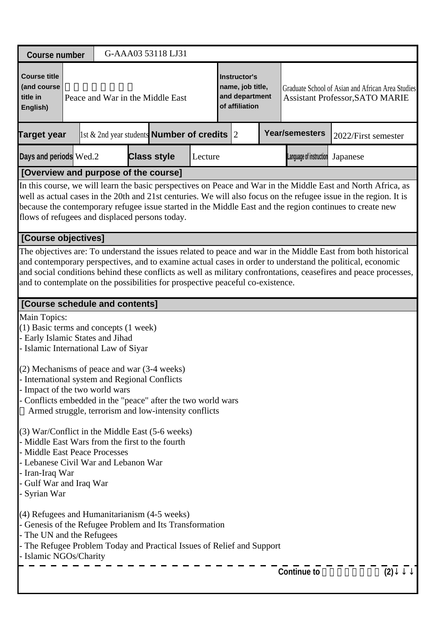| <b>Course number</b>                                                                                                                                                                                                                                                                                                                                                                                                             |  | G-AAA03 53118 LJ31                                     |         |                                                                      |                         |                                                                                             |     |
|----------------------------------------------------------------------------------------------------------------------------------------------------------------------------------------------------------------------------------------------------------------------------------------------------------------------------------------------------------------------------------------------------------------------------------|--|--------------------------------------------------------|---------|----------------------------------------------------------------------|-------------------------|---------------------------------------------------------------------------------------------|-----|
| <b>Course title</b><br>(and course<br>title in<br>English)                                                                                                                                                                                                                                                                                                                                                                       |  | Peace and War in the Middle East                       |         | Instructor's<br>name, job title,<br>and department<br>of affiliation |                         | Graduate School of Asian and African Area Studies<br><b>Assistant Professor, SATO MARIE</b> |     |
| <b>Target year</b>                                                                                                                                                                                                                                                                                                                                                                                                               |  | 1st & 2nd year students <b>Number of credits</b> $ 2 $ |         |                                                                      | <b>Year/semesters</b>   | 2022/First semester                                                                         |     |
| Days and periods Wed.2                                                                                                                                                                                                                                                                                                                                                                                                           |  | <b>Class style</b>                                     | Lecture |                                                                      | Language of instruction | Japanese                                                                                    |     |
| [Overview and purpose of the course]                                                                                                                                                                                                                                                                                                                                                                                             |  |                                                        |         |                                                                      |                         |                                                                                             |     |
| In this course, we will learn the basic perspectives on Peace and War in the Middle East and North Africa, as<br>well as actual cases in the 20th and 21st centuries. We will also focus on the refugee issue in the region. It is<br>because the contemporary refugee issue started in the Middle East and the region continues to create new<br>flows of refugees and displaced persons today.                                 |  |                                                        |         |                                                                      |                         |                                                                                             |     |
| [Course objectives]                                                                                                                                                                                                                                                                                                                                                                                                              |  |                                                        |         |                                                                      |                         |                                                                                             |     |
| The objectives are: To understand the issues related to peace and war in the Middle East from both historical<br>and contemporary perspectives, and to examine actual cases in order to understand the political, economic<br>and social conditions behind these conflicts as well as military confrontations, ceasefires and peace processes,<br>and to contemplate on the possibilities for prospective peaceful co-existence. |  |                                                        |         |                                                                      |                         |                                                                                             |     |
| [Course schedule and contents]                                                                                                                                                                                                                                                                                                                                                                                                   |  |                                                        |         |                                                                      |                         |                                                                                             |     |
| Main Topics:<br>$(1)$ Basic terms and concepts $(1$ week)<br>- Early Islamic States and Jihad<br>- Islamic International Law of Siyar<br>$(2)$ Mechanisms of peace and war $(3-4$ weeks)                                                                                                                                                                                                                                         |  |                                                        |         |                                                                      |                         |                                                                                             |     |
| - International system and Regional Conflicts<br>- Impact of the two world wars<br>- Conflicts embedded in the "peace" after the two world wars<br>Armed struggle, terrorism and low-intensity conflicts                                                                                                                                                                                                                         |  |                                                        |         |                                                                      |                         |                                                                                             |     |
| (3) War/Conflict in the Middle East (5-6 weeks)<br>- Middle East Wars from the first to the fourth<br>- Middle East Peace Processes<br>- Lebanese Civil War and Lebanon War<br>- Iran-Iraq War<br>Gulf War and Iraq War<br>Syrian War                                                                                                                                                                                            |  |                                                        |         |                                                                      |                         |                                                                                             |     |
| $(4)$ Refugees and Humanitarianism $(4-5$ weeks)<br>- Genesis of the Refugee Problem and Its Transformation<br>- The UN and the Refugees<br>The Refugee Problem Today and Practical Issues of Relief and Support<br>- Islamic NGOs/Charity                                                                                                                                                                                       |  |                                                        |         |                                                                      |                         |                                                                                             |     |
|                                                                                                                                                                                                                                                                                                                                                                                                                                  |  |                                                        |         |                                                                      | <b>Continue to</b>      |                                                                                             | (2) |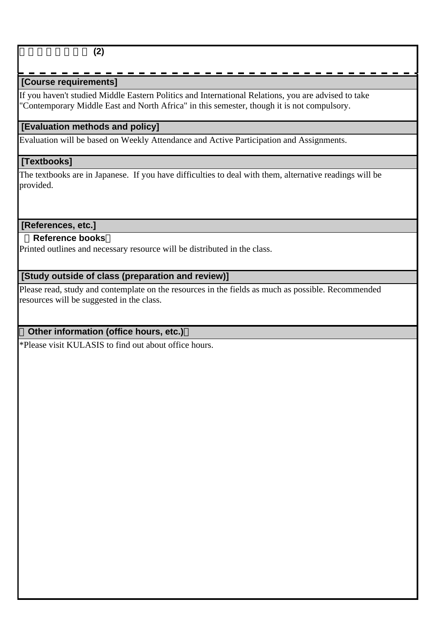## **[Course requirements]**

If you haven't studied Middle Eastern Politics and International Relations, you are advised to take "Contemporary Middle East and North Africa" in this semester, though it is not compulsory.

### **[Evaluation methods and policy]**

Evaluation will be based on Weekly Attendance and Active Participation and Assignments.

#### **[Textbooks]**

The textbooks are in Japanese. If you have difficulties to deal with them, alternative readings will be provided.

#### **[References, etc.]**

#### **Reference books**

Printed outlines and necessary resource will be distributed in the class.

### **[Study outside of class (preparation and review)]**

Please read, study and contemplate on the resources in the fields as much as possible. Recommended resources will be suggested in the class.

### **Other information (office hours, etc.)**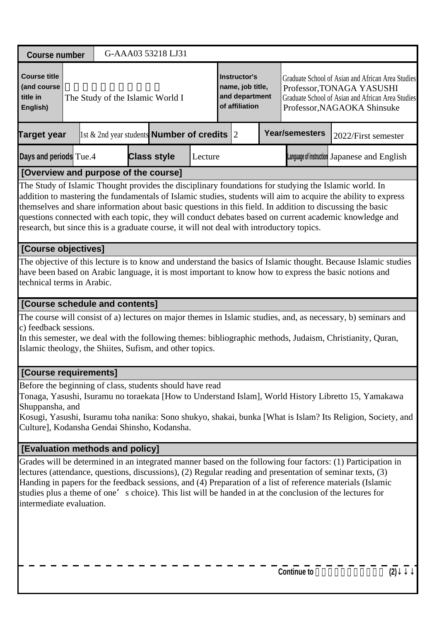| <b>Course number</b>                                                                                                                                                                                                                                                                                                                                                                                                                                                                                                                        |                                                                                                                                                                                                                                                                                                                                                                                                                                                                                |  |  |                                  | G-AAA03 53218 LJ31                                 |                                                                                                                                                                                                                                            |  |  |  |                       |                                                                                                                                                                                                                            |
|---------------------------------------------------------------------------------------------------------------------------------------------------------------------------------------------------------------------------------------------------------------------------------------------------------------------------------------------------------------------------------------------------------------------------------------------------------------------------------------------------------------------------------------------|--------------------------------------------------------------------------------------------------------------------------------------------------------------------------------------------------------------------------------------------------------------------------------------------------------------------------------------------------------------------------------------------------------------------------------------------------------------------------------|--|--|----------------------------------|----------------------------------------------------|--------------------------------------------------------------------------------------------------------------------------------------------------------------------------------------------------------------------------------------------|--|--|--|-----------------------|----------------------------------------------------------------------------------------------------------------------------------------------------------------------------------------------------------------------------|
| <b>Course title</b><br>(and course<br>title in<br>English)                                                                                                                                                                                                                                                                                                                                                                                                                                                                                  |                                                                                                                                                                                                                                                                                                                                                                                                                                                                                |  |  | The Study of the Islamic World I |                                                    | Instructor's<br>Graduate School of Asian and African Area Studies<br>name, job title,<br>Professor, TONAGA YASUSHI<br>and department<br>Graduate School of Asian and African Area Studies<br>of affiliation<br>Professor, NAGAOKA Shinsuke |  |  |  |                       |                                                                                                                                                                                                                            |
| <b>Target year</b>                                                                                                                                                                                                                                                                                                                                                                                                                                                                                                                          |                                                                                                                                                                                                                                                                                                                                                                                                                                                                                |  |  |                                  | 1st & 2nd year students <b>Number of credits</b> 2 |                                                                                                                                                                                                                                            |  |  |  | <b>Year/semesters</b> | 2022/First semester                                                                                                                                                                                                        |
| Days and periods Tue.4                                                                                                                                                                                                                                                                                                                                                                                                                                                                                                                      |                                                                                                                                                                                                                                                                                                                                                                                                                                                                                |  |  |                                  | <b>Class style</b>                                 | Lecture                                                                                                                                                                                                                                    |  |  |  |                       | Language of instruction Japanese and English                                                                                                                                                                               |
| [Overview and purpose of the course]                                                                                                                                                                                                                                                                                                                                                                                                                                                                                                        |                                                                                                                                                                                                                                                                                                                                                                                                                                                                                |  |  |                                  |                                                    |                                                                                                                                                                                                                                            |  |  |  |                       |                                                                                                                                                                                                                            |
| The Study of Islamic Thought provides the disciplinary foundations for studying the Islamic world. In<br>addition to mastering the fundamentals of Islamic studies, students will aim to acquire the ability to express<br>themselves and share information about basic questions in this field. In addition to discussing the basic<br>questions connected with each topic, they will conduct debates based on current academic knowledge and<br>research, but since this is a graduate course, it will not deal with introductory topics. |                                                                                                                                                                                                                                                                                                                                                                                                                                                                                |  |  |                                  |                                                    |                                                                                                                                                                                                                                            |  |  |  |                       |                                                                                                                                                                                                                            |
| [Course objectives]                                                                                                                                                                                                                                                                                                                                                                                                                                                                                                                         |                                                                                                                                                                                                                                                                                                                                                                                                                                                                                |  |  |                                  |                                                    |                                                                                                                                                                                                                                            |  |  |  |                       |                                                                                                                                                                                                                            |
| technical terms in Arabic.                                                                                                                                                                                                                                                                                                                                                                                                                                                                                                                  |                                                                                                                                                                                                                                                                                                                                                                                                                                                                                |  |  |                                  |                                                    |                                                                                                                                                                                                                                            |  |  |  |                       | The objective of this lecture is to know and understand the basics of Islamic thought. Because Islamic studies<br>have been based on Arabic language, it is most important to know how to express the basic notions and    |
| [Course schedule and contents]                                                                                                                                                                                                                                                                                                                                                                                                                                                                                                              |                                                                                                                                                                                                                                                                                                                                                                                                                                                                                |  |  |                                  |                                                    |                                                                                                                                                                                                                                            |  |  |  |                       |                                                                                                                                                                                                                            |
| c) feedback sessions.<br>Islamic theology, the Shiites, Sufism, and other topics.                                                                                                                                                                                                                                                                                                                                                                                                                                                           |                                                                                                                                                                                                                                                                                                                                                                                                                                                                                |  |  |                                  |                                                    |                                                                                                                                                                                                                                            |  |  |  |                       | The course will consist of a) lectures on major themes in Islamic studies, and, as necessary, b) seminars and<br>In this semester, we deal with the following themes: bibliographic methods, Judaism, Christianity, Quran, |
| [Course requirements]                                                                                                                                                                                                                                                                                                                                                                                                                                                                                                                       |                                                                                                                                                                                                                                                                                                                                                                                                                                                                                |  |  |                                  |                                                    |                                                                                                                                                                                                                                            |  |  |  |                       |                                                                                                                                                                                                                            |
| Before the beginning of class, students should have read<br>Shuppansha, and<br>Culture], Kodansha Gendai Shinsho, Kodansha.                                                                                                                                                                                                                                                                                                                                                                                                                 |                                                                                                                                                                                                                                                                                                                                                                                                                                                                                |  |  |                                  |                                                    |                                                                                                                                                                                                                                            |  |  |  |                       | Tonaga, Yasushi, Isuramu no toraekata [How to Understand Islam], World History Libretto 15, Yamakawa<br>Kosugi, Yasushi, Isuramu toha nanika: Sono shukyo, shakai, bunka [What is Islam? Its Religion, Society, and        |
| [Evaluation methods and policy]                                                                                                                                                                                                                                                                                                                                                                                                                                                                                                             |                                                                                                                                                                                                                                                                                                                                                                                                                                                                                |  |  |                                  |                                                    |                                                                                                                                                                                                                                            |  |  |  |                       |                                                                                                                                                                                                                            |
|                                                                                                                                                                                                                                                                                                                                                                                                                                                                                                                                             | Grades will be determined in an integrated manner based on the following four factors: (1) Participation in<br>lectures (attendance, questions, discussions), (2) Regular reading and presentation of seminar texts, (3)<br>Handing in papers for the feedback sessions, and (4) Preparation of a list of reference materials (Islamic<br>studies plus a theme of one's choice). This list will be handed in at the conclusion of the lectures for<br>intermediate evaluation. |  |  |                                  |                                                    |                                                                                                                                                                                                                                            |  |  |  |                       |                                                                                                                                                                                                                            |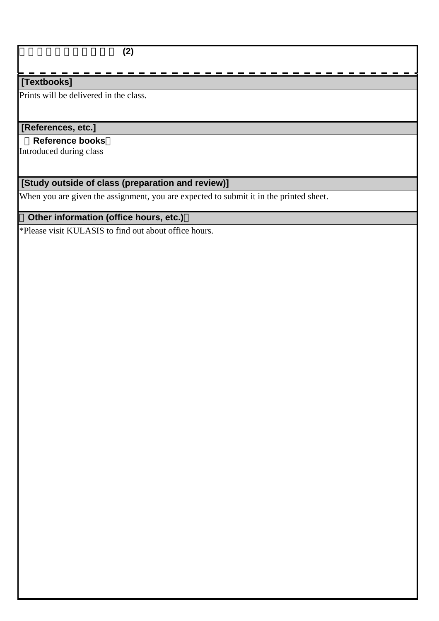#### **[Textbooks]**

Prints will be delivered in the class.

### **[References, etc.]**

 **Reference books** Introduced during class

# **[Study outside of class (preparation and review)]**

When you are given the assignment, you are expected to submit it in the printed sheet.

# **Other information (office hours, etc.)**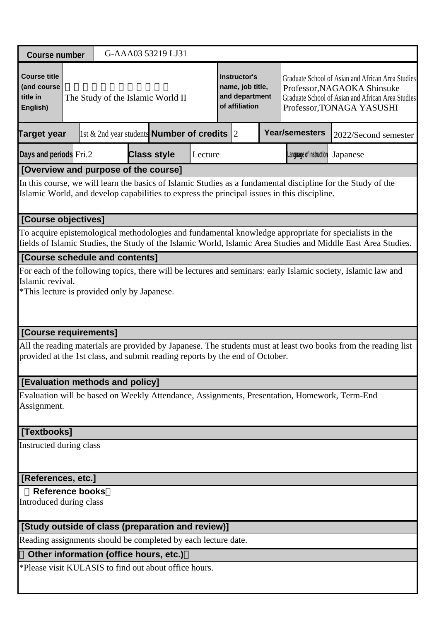| <b>Course number</b>                                                         |                                                                                                                                                                                                                        |  |  |  | G-AAA03 53219 LJ31                                     |         |  |                                                                             |  |                                                                                             |                                                                                                                                                                    |  |
|------------------------------------------------------------------------------|------------------------------------------------------------------------------------------------------------------------------------------------------------------------------------------------------------------------|--|--|--|--------------------------------------------------------|---------|--|-----------------------------------------------------------------------------|--|---------------------------------------------------------------------------------------------|--------------------------------------------------------------------------------------------------------------------------------------------------------------------|--|
| <b>Course title</b><br>(and course<br>title in<br>English)                   |                                                                                                                                                                                                                        |  |  |  | The Study of the Islamic World II                      |         |  | <b>Instructor's</b><br>name, job title,<br>and department<br>of affiliation |  |                                                                                             | Graduate School of Asian and African Area Studies<br>Professor, NAGAOKA Shinsuke<br>Graduate School of Asian and African Area Studies<br>Professor, TONAGA YASUSHI |  |
| <b>Target year</b>                                                           |                                                                                                                                                                                                                        |  |  |  | 1st & 2nd year students <b>Number of credits</b> $ 2 $ |         |  |                                                                             |  | <b>Year/semesters</b>                                                                       | 2022/Second semester                                                                                                                                               |  |
| Days and periods Fri.2                                                       |                                                                                                                                                                                                                        |  |  |  | <b>Class style</b>                                     | Lecture |  |                                                                             |  | Language of instruction                                                                     | Japanese                                                                                                                                                           |  |
| [Overview and purpose of the course]                                         |                                                                                                                                                                                                                        |  |  |  |                                                        |         |  |                                                                             |  |                                                                                             |                                                                                                                                                                    |  |
|                                                                              |                                                                                                                                                                                                                        |  |  |  |                                                        |         |  |                                                                             |  | Islamic World, and develop capabilities to express the principal issues in this discipline. | In this course, we will learn the basics of Islamic Studies as a fundamental discipline for the Study of the                                                       |  |
| [Course objectives]                                                          |                                                                                                                                                                                                                        |  |  |  |                                                        |         |  |                                                                             |  |                                                                                             |                                                                                                                                                                    |  |
|                                                                              | To acquire epistemological methodologies and fundamental knowledge appropriate for specialists in the<br>fields of Islamic Studies, the Study of the Islamic World, Islamic Area Studies and Middle East Area Studies. |  |  |  |                                                        |         |  |                                                                             |  |                                                                                             |                                                                                                                                                                    |  |
| [Course schedule and contents]                                               |                                                                                                                                                                                                                        |  |  |  |                                                        |         |  |                                                                             |  |                                                                                             |                                                                                                                                                                    |  |
|                                                                              | For each of the following topics, there will be lectures and seminars: early Islamic society, Islamic law and<br>Islamic revival.<br>*This lecture is provided only by Japanese.                                       |  |  |  |                                                        |         |  |                                                                             |  |                                                                                             |                                                                                                                                                                    |  |
| [Course requirements]                                                        |                                                                                                                                                                                                                        |  |  |  |                                                        |         |  |                                                                             |  |                                                                                             |                                                                                                                                                                    |  |
| provided at the 1st class, and submit reading reports by the end of October. |                                                                                                                                                                                                                        |  |  |  |                                                        |         |  |                                                                             |  |                                                                                             | All the reading materials are provided by Japanese. The students must at least two books from the reading list                                                     |  |
| [Evaluation methods and policy]                                              |                                                                                                                                                                                                                        |  |  |  |                                                        |         |  |                                                                             |  |                                                                                             |                                                                                                                                                                    |  |
| Assignment.                                                                  |                                                                                                                                                                                                                        |  |  |  |                                                        |         |  |                                                                             |  |                                                                                             | Evaluation will be based on Weekly Attendance, Assignments, Presentation, Homework, Term-End                                                                       |  |
| [Textbooks]                                                                  |                                                                                                                                                                                                                        |  |  |  |                                                        |         |  |                                                                             |  |                                                                                             |                                                                                                                                                                    |  |
|                                                                              | Instructed during class                                                                                                                                                                                                |  |  |  |                                                        |         |  |                                                                             |  |                                                                                             |                                                                                                                                                                    |  |
| [References, etc.]                                                           |                                                                                                                                                                                                                        |  |  |  |                                                        |         |  |                                                                             |  |                                                                                             |                                                                                                                                                                    |  |
| <b>Reference books</b><br>Introduced during class                            |                                                                                                                                                                                                                        |  |  |  |                                                        |         |  |                                                                             |  |                                                                                             |                                                                                                                                                                    |  |
| [Study outside of class (preparation and review)]                            |                                                                                                                                                                                                                        |  |  |  |                                                        |         |  |                                                                             |  |                                                                                             |                                                                                                                                                                    |  |
| Reading assignments should be completed by each lecture date.                |                                                                                                                                                                                                                        |  |  |  |                                                        |         |  |                                                                             |  |                                                                                             |                                                                                                                                                                    |  |
| Other information (office hours, etc.)                                       |                                                                                                                                                                                                                        |  |  |  |                                                        |         |  |                                                                             |  |                                                                                             |                                                                                                                                                                    |  |
| *Please visit KULASIS to find out about office hours.                        |                                                                                                                                                                                                                        |  |  |  |                                                        |         |  |                                                                             |  |                                                                                             |                                                                                                                                                                    |  |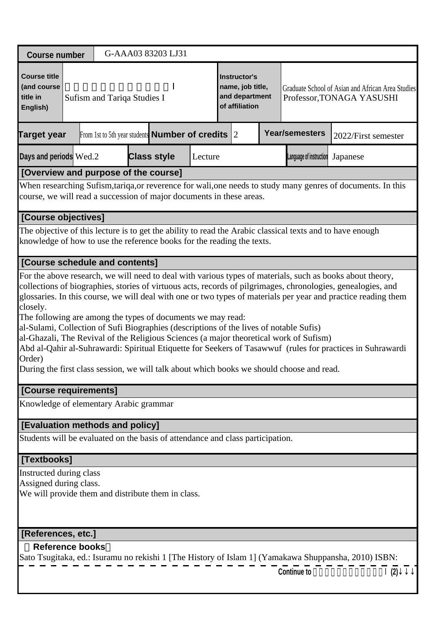| <b>Course number</b>                                                                                                                                                                 |                                                                                                         |  |                             |  |  | G-AAA03 83203 LJ31                                           |         |  |                                                                             |  |                                                                                                                                                                                     |                                                                                                                                                                                                                                                                                                                                                                                                                                                           |
|--------------------------------------------------------------------------------------------------------------------------------------------------------------------------------------|---------------------------------------------------------------------------------------------------------|--|-----------------------------|--|--|--------------------------------------------------------------|---------|--|-----------------------------------------------------------------------------|--|-------------------------------------------------------------------------------------------------------------------------------------------------------------------------------------|-----------------------------------------------------------------------------------------------------------------------------------------------------------------------------------------------------------------------------------------------------------------------------------------------------------------------------------------------------------------------------------------------------------------------------------------------------------|
| <b>Course title</b><br>(and course<br>title in<br>English)                                                                                                                           |                                                                                                         |  | Sufism and Tariqa Studies I |  |  |                                                              |         |  | <b>Instructor's</b><br>name, job title,<br>and department<br>of affiliation |  |                                                                                                                                                                                     | Graduate School of Asian and African Area Studies<br>Professor, TONAGA YASUSHI                                                                                                                                                                                                                                                                                                                                                                            |
| <b>Target year</b>                                                                                                                                                                   |                                                                                                         |  |                             |  |  | From 1st to 5th year students <b>Number of credits</b> $ 2 $ |         |  |                                                                             |  | <b>Year/semesters</b>                                                                                                                                                               | 2022/First semester                                                                                                                                                                                                                                                                                                                                                                                                                                       |
| Days and periods Wed.2                                                                                                                                                               |                                                                                                         |  |                             |  |  | <b>Class style</b>                                           | Lecture |  |                                                                             |  | Language of instruction                                                                                                                                                             | Japanese                                                                                                                                                                                                                                                                                                                                                                                                                                                  |
| [Overview and purpose of the course]                                                                                                                                                 |                                                                                                         |  |                             |  |  |                                                              |         |  |                                                                             |  |                                                                                                                                                                                     |                                                                                                                                                                                                                                                                                                                                                                                                                                                           |
| When researching Sufism, tariqa, or reverence for wali, one needs to study many genres of documents. In this<br>course, we will read a succession of major documents in these areas. |                                                                                                         |  |                             |  |  |                                                              |         |  |                                                                             |  |                                                                                                                                                                                     |                                                                                                                                                                                                                                                                                                                                                                                                                                                           |
| [Course objectives]                                                                                                                                                                  |                                                                                                         |  |                             |  |  |                                                              |         |  |                                                                             |  |                                                                                                                                                                                     |                                                                                                                                                                                                                                                                                                                                                                                                                                                           |
| The objective of this lecture is to get the ability to read the Arabic classical texts and to have enough<br>knowledge of how to use the reference books for the reading the texts.  |                                                                                                         |  |                             |  |  |                                                              |         |  |                                                                             |  |                                                                                                                                                                                     |                                                                                                                                                                                                                                                                                                                                                                                                                                                           |
| [Course schedule and contents]                                                                                                                                                       |                                                                                                         |  |                             |  |  |                                                              |         |  |                                                                             |  |                                                                                                                                                                                     |                                                                                                                                                                                                                                                                                                                                                                                                                                                           |
| closely.<br>The following are among the types of documents we may read:<br>al-Sulami, Collection of Sufi Biographies (descriptions of the lives of notable Sufis)<br>Order)          |                                                                                                         |  |                             |  |  |                                                              |         |  |                                                                             |  | al-Ghazali, The Revival of the Religious Sciences (a major theoretical work of Sufism)<br>During the first class session, we will talk about which books we should choose and read. | For the above research, we will need to deal with various types of materials, such as books about theory,<br>collections of biographies, stories of virtuous acts, records of pilgrimages, chronologies, genealogies, and<br>glossaries. In this course, we will deal with one or two types of materials per year and practice reading them<br>Abd al-Qahir al-Suhrawardi: Spiritual Etiquette for Seekers of Tasawwuf (rules for practices in Suhrawardi |
| [Course requirements]                                                                                                                                                                |                                                                                                         |  |                             |  |  |                                                              |         |  |                                                                             |  |                                                                                                                                                                                     |                                                                                                                                                                                                                                                                                                                                                                                                                                                           |
| Knowledge of elementary Arabic grammar                                                                                                                                               |                                                                                                         |  |                             |  |  |                                                              |         |  |                                                                             |  |                                                                                                                                                                                     |                                                                                                                                                                                                                                                                                                                                                                                                                                                           |
| [Evaluation methods and policy]                                                                                                                                                      |                                                                                                         |  |                             |  |  |                                                              |         |  |                                                                             |  |                                                                                                                                                                                     |                                                                                                                                                                                                                                                                                                                                                                                                                                                           |
| Students will be evaluated on the basis of attendance and class participation.                                                                                                       |                                                                                                         |  |                             |  |  |                                                              |         |  |                                                                             |  |                                                                                                                                                                                     |                                                                                                                                                                                                                                                                                                                                                                                                                                                           |
|                                                                                                                                                                                      | [Textbooks]                                                                                             |  |                             |  |  |                                                              |         |  |                                                                             |  |                                                                                                                                                                                     |                                                                                                                                                                                                                                                                                                                                                                                                                                                           |
|                                                                                                                                                                                      | Instructed during class<br>Assigned during class.<br>We will provide them and distribute them in class. |  |                             |  |  |                                                              |         |  |                                                                             |  |                                                                                                                                                                                     |                                                                                                                                                                                                                                                                                                                                                                                                                                                           |
| [References, etc.]                                                                                                                                                                   |                                                                                                         |  |                             |  |  |                                                              |         |  |                                                                             |  |                                                                                                                                                                                     |                                                                                                                                                                                                                                                                                                                                                                                                                                                           |
| <b>Reference books</b>                                                                                                                                                               |                                                                                                         |  |                             |  |  |                                                              |         |  |                                                                             |  |                                                                                                                                                                                     | Sato Tsugitaka, ed.: Isuramu no rekishi 1 [The History of Islam 1] (Yamakawa Shuppansha, 2010) ISBN:                                                                                                                                                                                                                                                                                                                                                      |

| Continue to | (2) |
|-------------|-----|
|-------------|-----|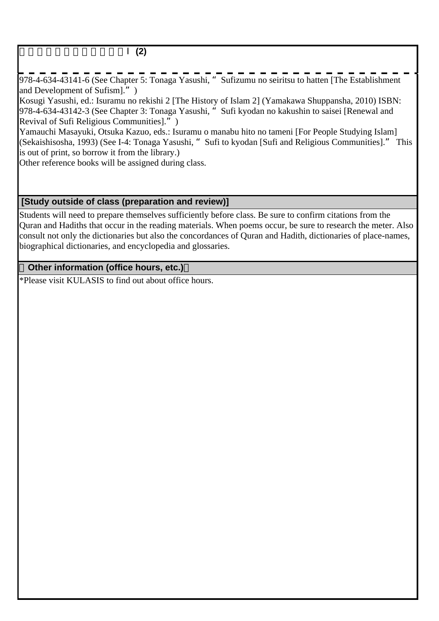### スーフィズム・タリーカ論Ⅰ**(2)**

978-4-634-43141-6 (See Chapter 5: Tonaga Yasushi, "Sufizumu no seiritsu to hatten [The Establishment and Development of Sufism].")

Kosugi Yasushi, ed.: Isuramu no rekishi 2 [The History of Islam 2] (Yamakawa Shuppansha, 2010) ISBN: 978-4-634-43142-3 (See Chapter 3: Tonaga Yasushi, "Sufi kyodan no kakushin to saisei [Renewal and Revival of Sufi Religious Communities].")

Yamauchi Masayuki, Otsuka Kazuo, eds.: Isuramu o manabu hito no tameni [For People Studying Islam] (Sekaishisosha, 1993) (See I-4: Tonaga Yasushi, "Sufi to kyodan [Sufi and Religious Communities]." This is out of print, so borrow it from the library.)

Other reference books will be assigned during class.

#### **[Study outside of class (preparation and review)]**

Students will need to prepare themselves sufficiently before class. Be sure to confirm citations from the Quran and Hadiths that occur in the reading materials. When poems occur, be sure to research the meter. Also consult not only the dictionaries but also the concordances of Quran and Hadith, dictionaries of place-names, biographical dictionaries, and encyclopedia and glossaries.

### **Other information (office hours, etc.)**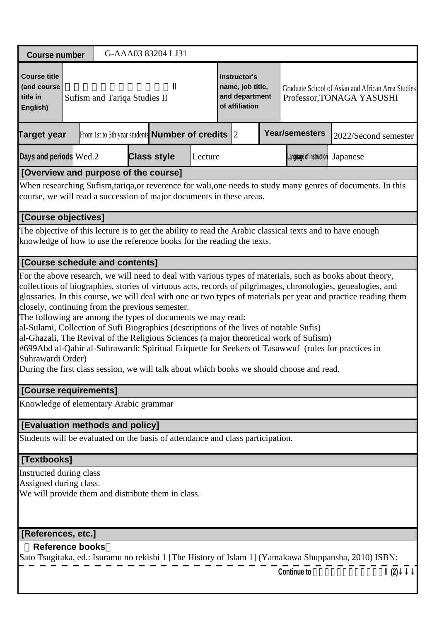| <b>Course number</b>                                                           |                                                                                                                                                                                                                                                                                                                                                                                                                                                                                                                                                                                                                                                                                                                                                               |  |                                                                                                                                   |  |  | G-AAA03 83204 LJ31                                           |         |  |                                                                             |  |                                                                                                              |          |                                                   |
|--------------------------------------------------------------------------------|---------------------------------------------------------------------------------------------------------------------------------------------------------------------------------------------------------------------------------------------------------------------------------------------------------------------------------------------------------------------------------------------------------------------------------------------------------------------------------------------------------------------------------------------------------------------------------------------------------------------------------------------------------------------------------------------------------------------------------------------------------------|--|-----------------------------------------------------------------------------------------------------------------------------------|--|--|--------------------------------------------------------------|---------|--|-----------------------------------------------------------------------------|--|--------------------------------------------------------------------------------------------------------------|----------|---------------------------------------------------|
| <b>Course title</b><br>(and course<br>title in<br>English)                     |                                                                                                                                                                                                                                                                                                                                                                                                                                                                                                                                                                                                                                                                                                                                                               |  | Sufism and Tariqa Studies II                                                                                                      |  |  |                                                              |         |  | <b>Instructor's</b><br>name, job title,<br>and department<br>of affiliation |  | Professor, TONAGA YASUSHI                                                                                    |          | Graduate School of Asian and African Area Studies |
| <b>Target year</b>                                                             |                                                                                                                                                                                                                                                                                                                                                                                                                                                                                                                                                                                                                                                                                                                                                               |  |                                                                                                                                   |  |  | From 1st to 5th year students <b>Number of credits</b> $ 2 $ |         |  |                                                                             |  | <b>Year/semesters</b>                                                                                        |          | 2022/Second semester                              |
| Days and periods Wed.2                                                         |                                                                                                                                                                                                                                                                                                                                                                                                                                                                                                                                                                                                                                                                                                                                                               |  |                                                                                                                                   |  |  | <b>Class style</b>                                           | Lecture |  |                                                                             |  | Language of instruction                                                                                      | Japanese |                                                   |
| [Overview and purpose of the course]                                           |                                                                                                                                                                                                                                                                                                                                                                                                                                                                                                                                                                                                                                                                                                                                                               |  |                                                                                                                                   |  |  |                                                              |         |  |                                                                             |  |                                                                                                              |          |                                                   |
| course, we will read a succession of major documents in these areas.           |                                                                                                                                                                                                                                                                                                                                                                                                                                                                                                                                                                                                                                                                                                                                                               |  |                                                                                                                                   |  |  |                                                              |         |  |                                                                             |  | When researching Sufism, tariqa, or reverence for wali, one needs to study many genres of documents. In this |          |                                                   |
| [Course objectives]                                                            |                                                                                                                                                                                                                                                                                                                                                                                                                                                                                                                                                                                                                                                                                                                                                               |  |                                                                                                                                   |  |  |                                                              |         |  |                                                                             |  |                                                                                                              |          |                                                   |
| knowledge of how to use the reference books for the reading the texts.         |                                                                                                                                                                                                                                                                                                                                                                                                                                                                                                                                                                                                                                                                                                                                                               |  |                                                                                                                                   |  |  |                                                              |         |  |                                                                             |  | The objective of this lecture is to get the ability to read the Arabic classical texts and to have enough    |          |                                                   |
| [Course schedule and contents]                                                 |                                                                                                                                                                                                                                                                                                                                                                                                                                                                                                                                                                                                                                                                                                                                                               |  |                                                                                                                                   |  |  |                                                              |         |  |                                                                             |  |                                                                                                              |          |                                                   |
|                                                                                | collections of biographies, stories of virtuous acts, records of pilgrimages, chronologies, genealogies, and<br>glossaries. In this course, we will deal with one or two types of materials per year and practice reading them<br>closely, continuing from the previous semester.<br>The following are among the types of documents we may read:<br>al-Sulami, Collection of Sufi Biographies (descriptions of the lives of notable Sufis)<br>al-Ghazali, The Revival of the Religious Sciences (a major theoretical work of Sufism)<br>#699Abd al-Qahir al-Suhrawardi: Spiritual Etiquette for Seekers of Tasawwuf (rules for practices in<br>Suhrawardi Order)<br>During the first class session, we will talk about which books we should choose and read. |  |                                                                                                                                   |  |  |                                                              |         |  |                                                                             |  |                                                                                                              |          |                                                   |
| [Course requirements]                                                          |                                                                                                                                                                                                                                                                                                                                                                                                                                                                                                                                                                                                                                                                                                                                                               |  |                                                                                                                                   |  |  |                                                              |         |  |                                                                             |  |                                                                                                              |          |                                                   |
| Knowledge of elementary Arabic grammar                                         |                                                                                                                                                                                                                                                                                                                                                                                                                                                                                                                                                                                                                                                                                                                                                               |  |                                                                                                                                   |  |  |                                                              |         |  |                                                                             |  |                                                                                                              |          |                                                   |
| [Evaluation methods and policy]                                                |                                                                                                                                                                                                                                                                                                                                                                                                                                                                                                                                                                                                                                                                                                                                                               |  |                                                                                                                                   |  |  |                                                              |         |  |                                                                             |  |                                                                                                              |          |                                                   |
| Students will be evaluated on the basis of attendance and class participation. |                                                                                                                                                                                                                                                                                                                                                                                                                                                                                                                                                                                                                                                                                                                                                               |  |                                                                                                                                   |  |  |                                                              |         |  |                                                                             |  |                                                                                                              |          |                                                   |
| [Textbooks]                                                                    |                                                                                                                                                                                                                                                                                                                                                                                                                                                                                                                                                                                                                                                                                                                                                               |  |                                                                                                                                   |  |  |                                                              |         |  |                                                                             |  |                                                                                                              |          |                                                   |
| Instructed during class                                                        |                                                                                                                                                                                                                                                                                                                                                                                                                                                                                                                                                                                                                                                                                                                                                               |  |                                                                                                                                   |  |  |                                                              |         |  |                                                                             |  |                                                                                                              |          |                                                   |
| Assigned during class.                                                         |                                                                                                                                                                                                                                                                                                                                                                                                                                                                                                                                                                                                                                                                                                                                                               |  |                                                                                                                                   |  |  |                                                              |         |  |                                                                             |  |                                                                                                              |          |                                                   |
| We will provide them and distribute them in class.                             |                                                                                                                                                                                                                                                                                                                                                                                                                                                                                                                                                                                                                                                                                                                                                               |  |                                                                                                                                   |  |  |                                                              |         |  |                                                                             |  |                                                                                                              |          |                                                   |
| [References, etc.]                                                             |                                                                                                                                                                                                                                                                                                                                                                                                                                                                                                                                                                                                                                                                                                                                                               |  |                                                                                                                                   |  |  |                                                              |         |  |                                                                             |  |                                                                                                              |          |                                                   |
| <b>Reference books</b>                                                         |                                                                                                                                                                                                                                                                                                                                                                                                                                                                                                                                                                                                                                                                                                                                                               |  |                                                                                                                                   |  |  |                                                              |         |  |                                                                             |  |                                                                                                              |          |                                                   |
|                                                                                |                                                                                                                                                                                                                                                                                                                                                                                                                                                                                                                                                                                                                                                                                                                                                               |  | Sato Tsugitaka, ed.: Isuramu no rekishi 1 [The History of Islam 1] (Yamakawa Shuppansha, 2010) ISBN:<br><b>Continue to</b><br>(2) |  |  |                                                              |         |  |                                                                             |  |                                                                                                              |          |                                                   |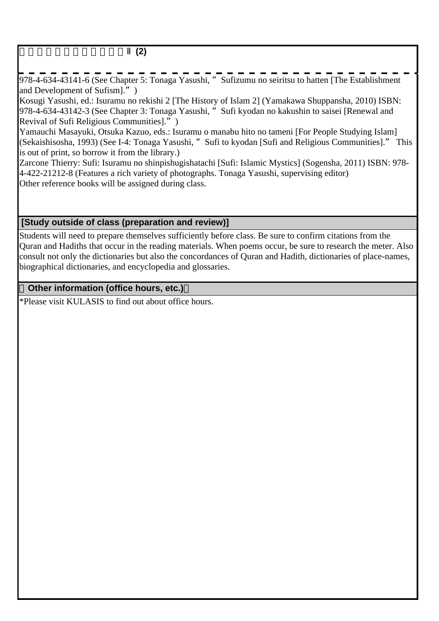### スーフィズム・タリーカ論Ⅱ**(2)**

978-4-634-43141-6 (See Chapter 5: Tonaga Yasushi, "Sufizumu no seiritsu to hatten [The Establishment and Development of Sufism].")

Kosugi Yasushi, ed.: Isuramu no rekishi 2 [The History of Islam 2] (Yamakawa Shuppansha, 2010) ISBN: 978-4-634-43142-3 (See Chapter 3: Tonaga Yasushi, "Sufi kyodan no kakushin to saisei [Renewal and Revival of Sufi Religious Communities].")

Yamauchi Masayuki, Otsuka Kazuo, eds.: Isuramu o manabu hito no tameni [For People Studying Islam] (Sekaishisosha, 1993) (See I-4: Tonaga Yasushi, "Sufi to kyodan [Sufi and Religious Communities]." This is out of print, so borrow it from the library.)

Zarcone Thierry: Sufi: Isuramu no shinpishugishatachi [Sufi: Islamic Mystics] (Sogensha, 2011) ISBN: 978- 4-422-21212-8 (Features a rich variety of photographs. Tonaga Yasushi, supervising editor) Other reference books will be assigned during class.

### **[Study outside of class (preparation and review)]**

Students will need to prepare themselves sufficiently before class. Be sure to confirm citations from the Quran and Hadiths that occur in the reading materials. When poems occur, be sure to research the meter. Also consult not only the dictionaries but also the concordances of Quran and Hadith, dictionaries of place-names, biographical dictionaries, and encyclopedia and glossaries.

### **Other information (office hours, etc.)**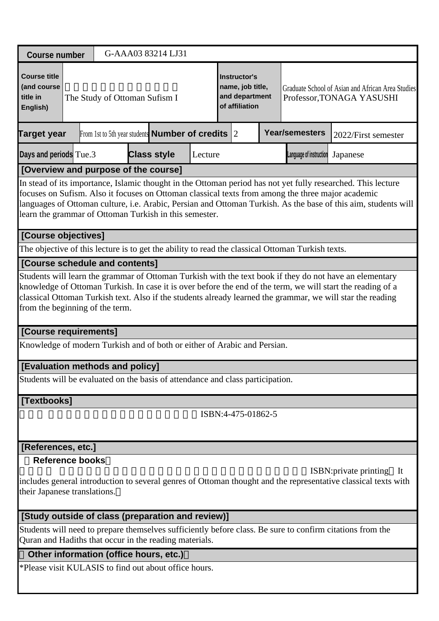| <b>Course number</b>                                                                                                                                                                                                                                                                                                                                                                                                                  |                                                                                                                                                                     |  |                               |  | G-AAA03 83214 LJ31                                           |         |  |                                                                             |  |                                  |                                                                                                                                                                                                                                                                                                                                      |
|---------------------------------------------------------------------------------------------------------------------------------------------------------------------------------------------------------------------------------------------------------------------------------------------------------------------------------------------------------------------------------------------------------------------------------------|---------------------------------------------------------------------------------------------------------------------------------------------------------------------|--|-------------------------------|--|--------------------------------------------------------------|---------|--|-----------------------------------------------------------------------------|--|----------------------------------|--------------------------------------------------------------------------------------------------------------------------------------------------------------------------------------------------------------------------------------------------------------------------------------------------------------------------------------|
| <b>Course title</b><br>(and course<br>title in<br>English)                                                                                                                                                                                                                                                                                                                                                                            |                                                                                                                                                                     |  | The Study of Ottoman Sufism I |  |                                                              |         |  | <b>Instructor's</b><br>name, job title,<br>and department<br>of affiliation |  |                                  | Graduate School of Asian and African Area Studies<br>Professor, TONAGA YASUSHI                                                                                                                                                                                                                                                       |
| Target year                                                                                                                                                                                                                                                                                                                                                                                                                           |                                                                                                                                                                     |  |                               |  | From 1st to 5th year students <b>Number of credits</b> $ 2 $ |         |  |                                                                             |  | <b>Year/semesters</b>            | 2022/First semester                                                                                                                                                                                                                                                                                                                  |
| Days and periods Tue.3                                                                                                                                                                                                                                                                                                                                                                                                                |                                                                                                                                                                     |  |                               |  | <b>Class style</b>                                           | Lecture |  |                                                                             |  | Language of instruction Japanese |                                                                                                                                                                                                                                                                                                                                      |
| [Overview and purpose of the course]<br>In stead of its importance, Islamic thought in the Ottoman period has not yet fully researched. This lecture<br>focuses on Sufism. Also it focuses on Ottoman classical texts from among the three major academic<br>languages of Ottoman culture, i.e. Arabic, Persian and Ottoman Turkish. As the base of this aim, students will<br>learn the grammar of Ottoman Turkish in this semester. |                                                                                                                                                                     |  |                               |  |                                                              |         |  |                                                                             |  |                                  |                                                                                                                                                                                                                                                                                                                                      |
|                                                                                                                                                                                                                                                                                                                                                                                                                                       | [Course objectives]                                                                                                                                                 |  |                               |  |                                                              |         |  |                                                                             |  |                                  |                                                                                                                                                                                                                                                                                                                                      |
|                                                                                                                                                                                                                                                                                                                                                                                                                                       | The objective of this lecture is to get the ability to read the classical Ottoman Turkish texts.                                                                    |  |                               |  |                                                              |         |  |                                                                             |  |                                  |                                                                                                                                                                                                                                                                                                                                      |
| [Course schedule and contents]                                                                                                                                                                                                                                                                                                                                                                                                        |                                                                                                                                                                     |  |                               |  |                                                              |         |  |                                                                             |  |                                  |                                                                                                                                                                                                                                                                                                                                      |
| from the beginning of the term.                                                                                                                                                                                                                                                                                                                                                                                                       |                                                                                                                                                                     |  |                               |  |                                                              |         |  |                                                                             |  |                                  | Students will learn the grammar of Ottoman Turkish with the text book if they do not have an elementary<br>knowledge of Ottoman Turkish. In case it is over before the end of the term, we will start the reading of a<br>classical Ottoman Turkish text. Also if the students already learned the grammar, we will star the reading |
| [Course requirements]                                                                                                                                                                                                                                                                                                                                                                                                                 |                                                                                                                                                                     |  |                               |  |                                                              |         |  |                                                                             |  |                                  |                                                                                                                                                                                                                                                                                                                                      |
| Knowledge of modern Turkish and of both or either of Arabic and Persian.                                                                                                                                                                                                                                                                                                                                                              |                                                                                                                                                                     |  |                               |  |                                                              |         |  |                                                                             |  |                                  |                                                                                                                                                                                                                                                                                                                                      |
| [Evaluation methods and policy]                                                                                                                                                                                                                                                                                                                                                                                                       |                                                                                                                                                                     |  |                               |  |                                                              |         |  |                                                                             |  |                                  |                                                                                                                                                                                                                                                                                                                                      |
| Students will be evaluated on the basis of attendance and class participation.                                                                                                                                                                                                                                                                                                                                                        |                                                                                                                                                                     |  |                               |  |                                                              |         |  |                                                                             |  |                                  |                                                                                                                                                                                                                                                                                                                                      |
| [Textbooks]                                                                                                                                                                                                                                                                                                                                                                                                                           |                                                                                                                                                                     |  |                               |  |                                                              |         |  |                                                                             |  |                                  |                                                                                                                                                                                                                                                                                                                                      |
|                                                                                                                                                                                                                                                                                                                                                                                                                                       |                                                                                                                                                                     |  |                               |  |                                                              |         |  | ISBN:4-475-01862-5                                                          |  |                                  |                                                                                                                                                                                                                                                                                                                                      |
| [References, etc.]                                                                                                                                                                                                                                                                                                                                                                                                                    |                                                                                                                                                                     |  |                               |  |                                                              |         |  |                                                                             |  |                                  |                                                                                                                                                                                                                                                                                                                                      |
| <b>Reference books</b><br>their Japanese translations.                                                                                                                                                                                                                                                                                                                                                                                |                                                                                                                                                                     |  |                               |  |                                                              |         |  |                                                                             |  |                                  | <b>ISBN:</b> private printing<br>It<br>includes general introduction to several genres of Ottoman thought and the representative classical texts with                                                                                                                                                                                |
| [Study outside of class (preparation and review)]                                                                                                                                                                                                                                                                                                                                                                                     |                                                                                                                                                                     |  |                               |  |                                                              |         |  |                                                                             |  |                                  |                                                                                                                                                                                                                                                                                                                                      |
|                                                                                                                                                                                                                                                                                                                                                                                                                                       | Students will need to prepare themselves sufficiently before class. Be sure to confirm citations from the<br>Quran and Hadiths that occur in the reading materials. |  |                               |  |                                                              |         |  |                                                                             |  |                                  |                                                                                                                                                                                                                                                                                                                                      |

# **Other information (office hours, etc.)**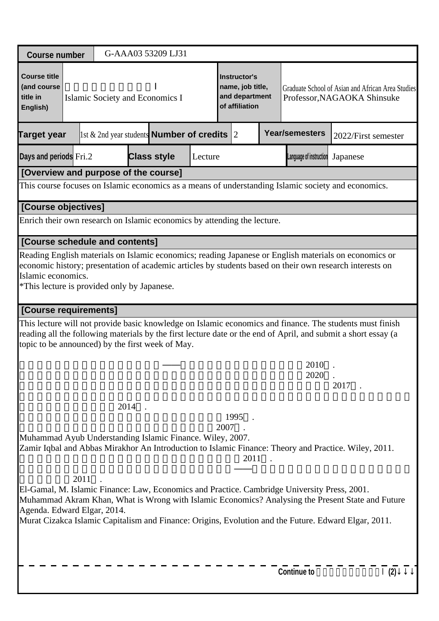| <b>Course number</b>                                                                                                                                                                                                                                                                                                                                                                                                                                                                                                                                  |                                                                                                                                                                                                                                                                                        |  |  |  | G-AAA03 53209 LJ31                                     |         |  |                                                                      |  |                         |                                                                                                                                                                                                                            |
|-------------------------------------------------------------------------------------------------------------------------------------------------------------------------------------------------------------------------------------------------------------------------------------------------------------------------------------------------------------------------------------------------------------------------------------------------------------------------------------------------------------------------------------------------------|----------------------------------------------------------------------------------------------------------------------------------------------------------------------------------------------------------------------------------------------------------------------------------------|--|--|--|--------------------------------------------------------|---------|--|----------------------------------------------------------------------|--|-------------------------|----------------------------------------------------------------------------------------------------------------------------------------------------------------------------------------------------------------------------|
| <b>Course title</b><br>(and course<br>title in<br>English)                                                                                                                                                                                                                                                                                                                                                                                                                                                                                            |                                                                                                                                                                                                                                                                                        |  |  |  | Islamic Society and Economics I                        |         |  | Instructor's<br>name, job title,<br>and department<br>of affiliation |  |                         | Graduate School of Asian and African Area Studies<br>Professor, NAGAOKA Shinsuke                                                                                                                                           |
| <b>Target year</b>                                                                                                                                                                                                                                                                                                                                                                                                                                                                                                                                    |                                                                                                                                                                                                                                                                                        |  |  |  | 1st & 2nd year students <b>Number of credits</b> $ 2 $ |         |  |                                                                      |  | <b>Year/semesters</b>   | 2022/First semester                                                                                                                                                                                                        |
| Days and periods Fri.2                                                                                                                                                                                                                                                                                                                                                                                                                                                                                                                                |                                                                                                                                                                                                                                                                                        |  |  |  | <b>Class style</b>                                     | Lecture |  |                                                                      |  | Language of instruction | Japanese                                                                                                                                                                                                                   |
| [Overview and purpose of the course]                                                                                                                                                                                                                                                                                                                                                                                                                                                                                                                  |                                                                                                                                                                                                                                                                                        |  |  |  |                                                        |         |  |                                                                      |  |                         |                                                                                                                                                                                                                            |
|                                                                                                                                                                                                                                                                                                                                                                                                                                                                                                                                                       |                                                                                                                                                                                                                                                                                        |  |  |  |                                                        |         |  |                                                                      |  |                         | This course focuses on Islamic economics as a means of understanding Islamic society and economics.                                                                                                                        |
| [Course objectives]                                                                                                                                                                                                                                                                                                                                                                                                                                                                                                                                   |                                                                                                                                                                                                                                                                                        |  |  |  |                                                        |         |  |                                                                      |  |                         |                                                                                                                                                                                                                            |
| Enrich their own research on Islamic economics by attending the lecture.                                                                                                                                                                                                                                                                                                                                                                                                                                                                              |                                                                                                                                                                                                                                                                                        |  |  |  |                                                        |         |  |                                                                      |  |                         |                                                                                                                                                                                                                            |
| <b>[Course schedule and contents]</b>                                                                                                                                                                                                                                                                                                                                                                                                                                                                                                                 |                                                                                                                                                                                                                                                                                        |  |  |  |                                                        |         |  |                                                                      |  |                         |                                                                                                                                                                                                                            |
|                                                                                                                                                                                                                                                                                                                                                                                                                                                                                                                                                       | Reading English materials on Islamic economics; reading Japanese or English materials on economics or<br>economic history; presentation of academic articles by students based on their own research interests on<br>Islamic economics.<br>*This lecture is provided only by Japanese. |  |  |  |                                                        |         |  |                                                                      |  |                         |                                                                                                                                                                                                                            |
| [Course requirements]                                                                                                                                                                                                                                                                                                                                                                                                                                                                                                                                 |                                                                                                                                                                                                                                                                                        |  |  |  |                                                        |         |  |                                                                      |  |                         |                                                                                                                                                                                                                            |
| topic to be announced) by the first week of May.                                                                                                                                                                                                                                                                                                                                                                                                                                                                                                      |                                                                                                                                                                                                                                                                                        |  |  |  |                                                        |         |  |                                                                      |  |                         | This lecture will not provide basic knowledge on Islamic economics and finance. The students must finish<br>reading all the following materials by the first lecture date or the end of April, and submit a short essay (a |
|                                                                                                                                                                                                                                                                                                                                                                                                                                                                                                                                                       |                                                                                                                                                                                                                                                                                        |  |  |  |                                                        |         |  |                                                                      |  | 2010<br>2020            | 2017                                                                                                                                                                                                                       |
|                                                                                                                                                                                                                                                                                                                                                                                                                                                                                                                                                       |                                                                                                                                                                                                                                                                                        |  |  |  |                                                        |         |  |                                                                      |  |                         |                                                                                                                                                                                                                            |
| 2014<br>1995<br>2007<br>Muhammad Ayub Understanding Islamic Finance. Wiley, 2007.<br>Zamir Iqbal and Abbas Mirakhor An Introduction to Islamic Finance: Theory and Practice. Wiley, 2011.<br>2011<br>2011<br>El-Gamal, M. Islamic Finance: Law, Economics and Practice. Cambridge University Press, 2001.<br>Muhammad Akram Khan, What is Wrong with Islamic Economics? Analysing the Present State and Future<br>Agenda. Edward Elgar, 2014.<br>Murat Cizakca Islamic Capitalism and Finance: Origins, Evolution and the Future. Edward Elgar, 2011. |                                                                                                                                                                                                                                                                                        |  |  |  |                                                        |         |  |                                                                      |  |                         |                                                                                                                                                                                                                            |
|                                                                                                                                                                                                                                                                                                                                                                                                                                                                                                                                                       |                                                                                                                                                                                                                                                                                        |  |  |  |                                                        |         |  |                                                                      |  | <b>Continue to</b>      | (2)                                                                                                                                                                                                                        |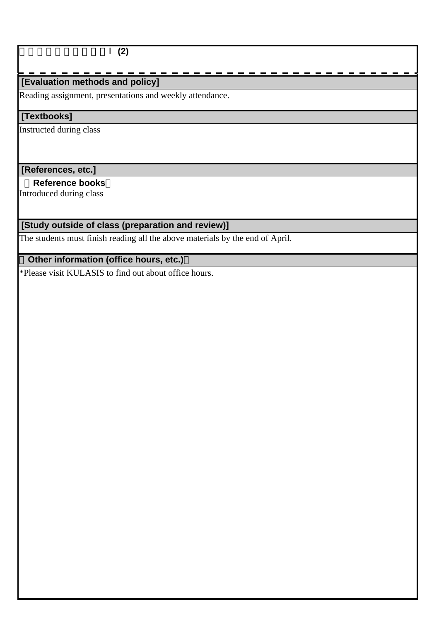#### イスラーム社会経済論Ⅰ**(2)**

### **[Evaluation methods and policy]**

Reading assignment, presentations and weekly attendance.

#### **[Textbooks]**

Instructed during class

#### **[References, etc.]**

#### **Reference books**

Introduced during class

# **[Study outside of class (preparation and review)]**

The students must finish reading all the above materials by the end of April.

# **Other information (office hours, etc.)**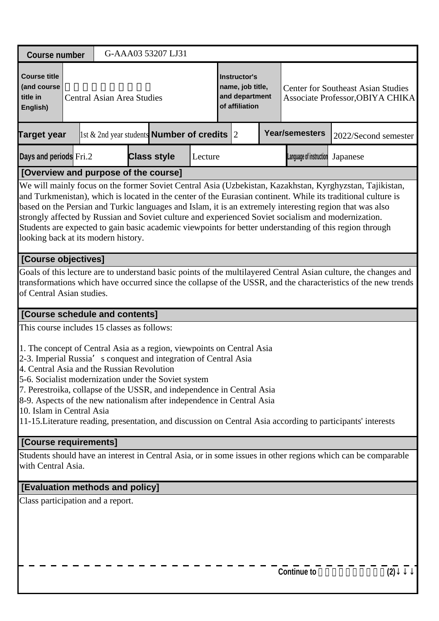| <b>Course number</b>                                                                                                                                                                                                                                                                                                                                                                                                             |                                                                                                                                                                                                                                                                                                                                                                                                                                                                                                                                                                                                |  |                                   |  | G-AAA03 53207 LJ31                                         |         |                                                                      |  |  |                         |                                                                                                                                                                                                                                  |  |
|----------------------------------------------------------------------------------------------------------------------------------------------------------------------------------------------------------------------------------------------------------------------------------------------------------------------------------------------------------------------------------------------------------------------------------|------------------------------------------------------------------------------------------------------------------------------------------------------------------------------------------------------------------------------------------------------------------------------------------------------------------------------------------------------------------------------------------------------------------------------------------------------------------------------------------------------------------------------------------------------------------------------------------------|--|-----------------------------------|--|------------------------------------------------------------|---------|----------------------------------------------------------------------|--|--|-------------------------|----------------------------------------------------------------------------------------------------------------------------------------------------------------------------------------------------------------------------------|--|
| <b>Course title</b><br>(and course<br>title in<br>English)                                                                                                                                                                                                                                                                                                                                                                       |                                                                                                                                                                                                                                                                                                                                                                                                                                                                                                                                                                                                |  | <b>Central Asian Area Studies</b> |  |                                                            |         | Instructor's<br>name, job title,<br>and department<br>of affiliation |  |  |                         | <b>Center for Southeast Asian Studies</b><br>Associate Professor, OBIYA CHIKA                                                                                                                                                    |  |
| <b>Target year</b>                                                                                                                                                                                                                                                                                                                                                                                                               |                                                                                                                                                                                                                                                                                                                                                                                                                                                                                                                                                                                                |  |                                   |  | $\vert$ 1st & 2nd year students <b>Number of credits</b> 2 |         |                                                                      |  |  | <b>Year/semesters</b>   | 2022/Second semester                                                                                                                                                                                                             |  |
| Days and periods Fri.2                                                                                                                                                                                                                                                                                                                                                                                                           |                                                                                                                                                                                                                                                                                                                                                                                                                                                                                                                                                                                                |  |                                   |  | <b>Class style</b>                                         | Lecture |                                                                      |  |  | Language of instruction | Japanese                                                                                                                                                                                                                         |  |
| [Overview and purpose of the course]                                                                                                                                                                                                                                                                                                                                                                                             |                                                                                                                                                                                                                                                                                                                                                                                                                                                                                                                                                                                                |  |                                   |  |                                                            |         |                                                                      |  |  |                         |                                                                                                                                                                                                                                  |  |
|                                                                                                                                                                                                                                                                                                                                                                                                                                  | We will mainly focus on the former Soviet Central Asia (Uzbekistan, Kazakhstan, Kyrghyzstan, Tajikistan,<br>and Turkmenistan), which is located in the center of the Eurasian continent. While its traditional culture is<br>based on the Persian and Turkic languages and Islam, it is an extremely interesting region that was also<br>strongly affected by Russian and Soviet culture and experienced Soviet socialism and modernization.<br>Students are expected to gain basic academic viewpoints for better understanding of this region through<br>looking back at its modern history. |  |                                   |  |                                                            |         |                                                                      |  |  |                         |                                                                                                                                                                                                                                  |  |
| [Course objectives]                                                                                                                                                                                                                                                                                                                                                                                                              |                                                                                                                                                                                                                                                                                                                                                                                                                                                                                                                                                                                                |  |                                   |  |                                                            |         |                                                                      |  |  |                         |                                                                                                                                                                                                                                  |  |
| of Central Asian studies.                                                                                                                                                                                                                                                                                                                                                                                                        |                                                                                                                                                                                                                                                                                                                                                                                                                                                                                                                                                                                                |  |                                   |  |                                                            |         |                                                                      |  |  |                         | Goals of this lecture are to understand basic points of the multilayered Central Asian culture, the changes and<br>transformations which have occurred since the collapse of the USSR, and the characteristics of the new trends |  |
| [Course schedule and contents]                                                                                                                                                                                                                                                                                                                                                                                                   |                                                                                                                                                                                                                                                                                                                                                                                                                                                                                                                                                                                                |  |                                   |  |                                                            |         |                                                                      |  |  |                         |                                                                                                                                                                                                                                  |  |
| This course includes 15 classes as follows:                                                                                                                                                                                                                                                                                                                                                                                      |                                                                                                                                                                                                                                                                                                                                                                                                                                                                                                                                                                                                |  |                                   |  |                                                            |         |                                                                      |  |  |                         |                                                                                                                                                                                                                                  |  |
| 1. The concept of Central Asia as a region, viewpoints on Central Asia<br>2-3. Imperial Russia's conquest and integration of Central Asia<br>4. Central Asia and the Russian Revolution<br>5-6. Socialist modernization under the Soviet system<br>7. Perestroika, collapse of the USSR, and independence in Central Asia<br>8-9. Aspects of the new nationalism after independence in Central Asia<br>10. Islam in Central Asia |                                                                                                                                                                                                                                                                                                                                                                                                                                                                                                                                                                                                |  |                                   |  |                                                            |         |                                                                      |  |  |                         | 11-15. Literature reading, presentation, and discussion on Central Asia according to participants' interests                                                                                                                     |  |
| [Course requirements]                                                                                                                                                                                                                                                                                                                                                                                                            |                                                                                                                                                                                                                                                                                                                                                                                                                                                                                                                                                                                                |  |                                   |  |                                                            |         |                                                                      |  |  |                         |                                                                                                                                                                                                                                  |  |
|                                                                                                                                                                                                                                                                                                                                                                                                                                  | Students should have an interest in Central Asia, or in some issues in other regions which can be comparable<br>with Central Asia.                                                                                                                                                                                                                                                                                                                                                                                                                                                             |  |                                   |  |                                                            |         |                                                                      |  |  |                         |                                                                                                                                                                                                                                  |  |
| <b>[Evaluation methods and policy]</b>                                                                                                                                                                                                                                                                                                                                                                                           |                                                                                                                                                                                                                                                                                                                                                                                                                                                                                                                                                                                                |  |                                   |  |                                                            |         |                                                                      |  |  |                         |                                                                                                                                                                                                                                  |  |
|                                                                                                                                                                                                                                                                                                                                                                                                                                  | Class participation and a report.                                                                                                                                                                                                                                                                                                                                                                                                                                                                                                                                                              |  |                                   |  |                                                            |         |                                                                      |  |  |                         |                                                                                                                                                                                                                                  |  |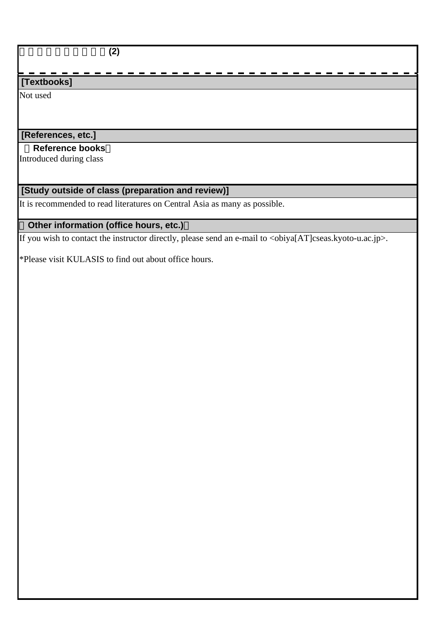中央アジア地域研究論**(2)**

# **[Textbooks]**

Not used

# **[References, etc.]**

#### **Reference books**

Introduced during class

### **[Study outside of class (preparation and review)]**

It is recommended to read literatures on Central Asia as many as possible.

# **Other information (office hours, etc.)**

If you wish to contact the instructor directly, please send an e-mail to  $\langle$ obiya[AT]cseas.kyoto-u.ac.jp>.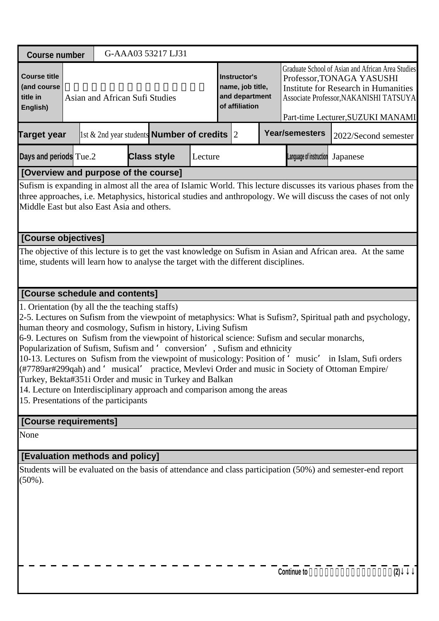| <b>Course number</b>                                       | G-AAA03 53217 LJ31                                                                                                                                                                                                                                                                                                                                                                                                                                                                                                                                                                                                                                                                                                                                           |         |                                                                      |  |                                                                                                                                                                                                              |                      |  |  |  |  |
|------------------------------------------------------------|--------------------------------------------------------------------------------------------------------------------------------------------------------------------------------------------------------------------------------------------------------------------------------------------------------------------------------------------------------------------------------------------------------------------------------------------------------------------------------------------------------------------------------------------------------------------------------------------------------------------------------------------------------------------------------------------------------------------------------------------------------------|---------|----------------------------------------------------------------------|--|--------------------------------------------------------------------------------------------------------------------------------------------------------------------------------------------------------------|----------------------|--|--|--|--|
| <b>Course title</b><br>(and course<br>title in<br>English) | Asian and African Sufi Studies                                                                                                                                                                                                                                                                                                                                                                                                                                                                                                                                                                                                                                                                                                                               |         | Instructor's<br>name, job title,<br>and department<br>of affiliation |  | Graduate School of Asian and African Area Studies<br>Professor, TONAGA YASUSHI<br><b>Institute for Research in Humanities</b><br>Associate Professor, NAKANISHI TATSUYA<br>Part-time Lecturer, SUZUKI MANAMI |                      |  |  |  |  |
| <b>Target year</b>                                         | 1st & 2nd year students <b>Number of credits</b> $\vert$ 2                                                                                                                                                                                                                                                                                                                                                                                                                                                                                                                                                                                                                                                                                                   |         |                                                                      |  | <b>Year/semesters</b>                                                                                                                                                                                        | 2022/Second semester |  |  |  |  |
| Days and periods Tue.2                                     | <b>Class style</b>                                                                                                                                                                                                                                                                                                                                                                                                                                                                                                                                                                                                                                                                                                                                           | Lecture |                                                                      |  | Language of instruction                                                                                                                                                                                      | Japanese             |  |  |  |  |
|                                                            | [Overview and purpose of the course]                                                                                                                                                                                                                                                                                                                                                                                                                                                                                                                                                                                                                                                                                                                         |         |                                                                      |  |                                                                                                                                                                                                              |                      |  |  |  |  |
|                                                            | Sufism is expanding in almost all the area of Islamic World. This lecture discusses its various phases from the<br>three approaches, i.e. Metaphysics, historical studies and anthropology. We will discuss the cases of not only<br>Middle East but also East Asia and others.                                                                                                                                                                                                                                                                                                                                                                                                                                                                              |         |                                                                      |  |                                                                                                                                                                                                              |                      |  |  |  |  |
| [Course objectives]                                        |                                                                                                                                                                                                                                                                                                                                                                                                                                                                                                                                                                                                                                                                                                                                                              |         |                                                                      |  |                                                                                                                                                                                                              |                      |  |  |  |  |
|                                                            | The objective of this lecture is to get the vast knowledge on Sufism in Asian and African area. At the same<br>time, students will learn how to analyse the target with the different disciplines.                                                                                                                                                                                                                                                                                                                                                                                                                                                                                                                                                           |         |                                                                      |  |                                                                                                                                                                                                              |                      |  |  |  |  |
| [Course schedule and contents]                             |                                                                                                                                                                                                                                                                                                                                                                                                                                                                                                                                                                                                                                                                                                                                                              |         |                                                                      |  |                                                                                                                                                                                                              |                      |  |  |  |  |
| 15. Presentations of the participants                      | 1. Orientation (by all the the teaching staffs)<br>2-5. Lectures on Sufism from the viewpoint of metaphysics: What is Sufism?, Spiritual path and psychology,<br>human theory and cosmology, Sufism in history, Living Sufism<br>6-9. Lectures on Sufism from the viewpoint of historical science: Sufism and secular monarchs,<br>Popularization of Sufism, Sufism and 'conversion', Sufism and ethnicity<br>10-13. Lectures on Sufism from the viewpoint of musicology: Position of 'music' in Islam, Sufi orders<br>(#7789ar#299qah) and 'musical' practice, Mevlevi Order and music in Society of Ottoman Empire/<br>Turkey, Bekta#351i Order and music in Turkey and Balkan<br>14. Lecture on Interdisciplinary approach and comparison among the areas |         |                                                                      |  |                                                                                                                                                                                                              |                      |  |  |  |  |
| [Course requirements]<br>None                              |                                                                                                                                                                                                                                                                                                                                                                                                                                                                                                                                                                                                                                                                                                                                                              |         |                                                                      |  |                                                                                                                                                                                                              |                      |  |  |  |  |
|                                                            |                                                                                                                                                                                                                                                                                                                                                                                                                                                                                                                                                                                                                                                                                                                                                              |         |                                                                      |  |                                                                                                                                                                                                              |                      |  |  |  |  |
| <b>[Evaluation methods and policy]</b>                     |                                                                                                                                                                                                                                                                                                                                                                                                                                                                                                                                                                                                                                                                                                                                                              |         |                                                                      |  |                                                                                                                                                                                                              |                      |  |  |  |  |
| $(50\%)$ .                                                 | Students will be evaluated on the basis of attendance and class participation (50%) and semester-end report                                                                                                                                                                                                                                                                                                                                                                                                                                                                                                                                                                                                                                                  |         |                                                                      |  |                                                                                                                                                                                                              |                      |  |  |  |  |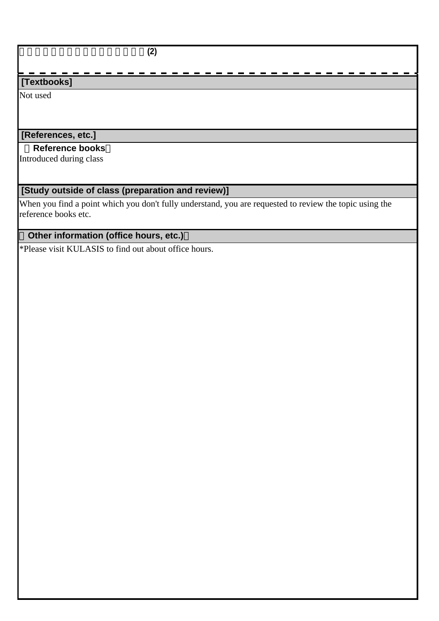# アジア・アフリカ・スーフィズム論**(2)**

# **[Textbooks]**

Not used

# **[References, etc.]**

#### **Reference books**

Introduced during class

### **[Study outside of class (preparation and review)]**

When you find a point which you don't fully understand, you are requested to review the topic using the reference books etc.

# **Other information (office hours, etc.)**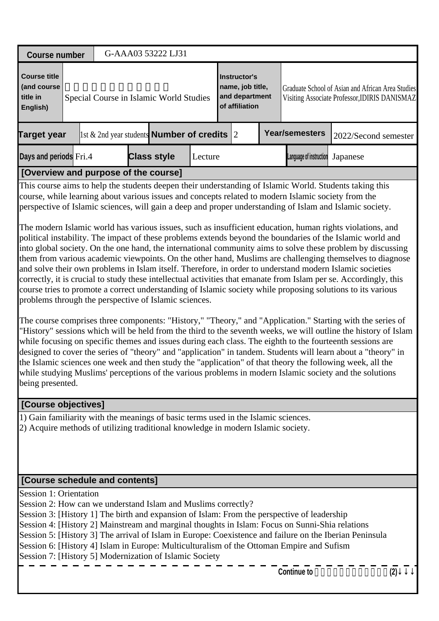| <b>Course number</b>                                                                              |  |  |  | G-AAA03 53222 LJ31                      |  |  |                                                                             |  |                      |                                                                                                    |  |
|---------------------------------------------------------------------------------------------------|--|--|--|-----------------------------------------|--|--|-----------------------------------------------------------------------------|--|----------------------|----------------------------------------------------------------------------------------------------|--|
| Course title<br>(and course<br>title in<br><b>English</b> )                                       |  |  |  | Special Course in Islamic World Studies |  |  | Instructor's<br>name, job title,<br>and department<br><b>of affiliation</b> |  |                      | Graduate School of Asian and African Area Studies<br>Visiting Associate Professor, IDIRIS DANISMAZ |  |
| <b>Year/semesters</b><br>1st & 2nd year students <b>Number of credits</b> 2<br><b>Target year</b> |  |  |  |                                         |  |  |                                                                             |  | 2022/Second semester |                                                                                                    |  |
| Days and periods Fri.4<br><b>Class style</b><br>Language of instruction<br>Lecture                |  |  |  |                                         |  |  |                                                                             |  | Japanese             |                                                                                                    |  |
| [Overview and purpose of the course]                                                              |  |  |  |                                         |  |  |                                                                             |  |                      |                                                                                                    |  |

This course aims to help the students deepen their understanding of Islamic World. Students taking this course, while learning about various issues and concepts related to modern Islamic society from the perspective of Islamic sciences, will gain a deep and proper understanding of Islam and Islamic society.

The modern Islamic world has various issues, such as insufficient education, human rights violations, and political instability. The impact of these problems extends beyond the boundaries of the Islamic world and into global society. On the one hand, the international community aims to solve these problem by discussing them from various academic viewpoints. On the other hand, Muslims are challenging themselves to diagnose and solve their own problems in Islam itself. Therefore, in order to understand modern Islamic societies correctly, it is crucial to study these intellectual activities that emanate from Islam per se. Accordingly, this course tries to promote a correct understanding of Islamic society while proposing solutions to its various problems through the perspective of Islamic sciences.

The course comprises three components: "History," "Theory," and "Application." Starting with the series of "History" sessions which will be held from the third to the seventh weeks, we will outline the history of Islam while focusing on specific themes and issues during each class. The eighth to the fourteenth sessions are designed to cover the series of "theory" and "application" in tandem. Students will learn about a "theory" in the Islamic sciences one week and then study the "application" of that theory the following week, all the while studying Muslims' perceptions of the various problems in modern Islamic society and the solutions being presented.

#### **[Course objectives]**

1) Gain familiarity with the meanings of basic terms used in the Islamic sciences.

2) Acquire methods of utilizing traditional knowledge in modern Islamic society.

### **[Course schedule and contents]**

Session 1: Orientation

Session 2: How can we understand Islam and Muslims correctly?

Session 3: [History 1] The birth and expansion of Islam: From the perspective of leadership

Session 4: [History 2] Mainstream and marginal thoughts in Islam: Focus on Sunni-Shia relations

Session 5: [History 3] The arrival of Islam in Europe: Coexistence and failure on the Iberian Peninsula

Session 6: [History 4] Islam in Europe: Multiculturalism of the Ottoman Empire and Sufism

Session 7: [History 5] Modernization of Islamic Society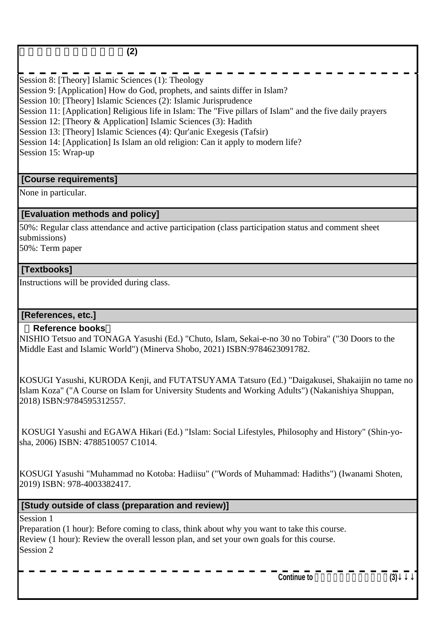# イスラーム世界論特殊講義**(2)**

Session 8: [Theory] Islamic Sciences (1): Theology Session 9: [Application] How do God, prophets, and saints differ in Islam? Session 10: [Theory] Islamic Sciences (2): Islamic Jurisprudence Session 11: [Application] Religious life in Islam: The "Five pillars of Islam" and the five daily prayers Session 12: [Theory & Application] Islamic Sciences (3): Hadith Session 13: [Theory] Islamic Sciences (4): Qur'anic Exegesis (Tafsir) Session 14: [Application] Is Islam an old religion: Can it apply to modern life? Session 15: Wrap-up

#### **[Course requirements]**

None in particular.

#### **[Evaluation methods and policy]**

50%: Regular class attendance and active participation (class participation status and comment sheet submissions)

50%: Term paper

#### **[Textbooks]**

Instructions will be provided during class.

#### **[References, etc.]**

#### **Reference books**

NISHIO Tetsuo and TONAGA Yasushi (Ed.) "Chuto, Islam, Sekai-e-no 30 no Tobira" ("30 Doors to the Middle East and Islamic World") (Minerva Shobo, 2021) ISBN:9784623091782.

KOSUGI Yasushi, KURODA Kenji, and FUTATSUYAMA Tatsuro (Ed.) "Daigakusei, Shakaijin no tame no Islam Koza" ("A Course on Islam for University Students and Working Adults") (Nakanishiya Shuppan, 2018) ISBN:9784595312557.

 KOSUGI Yasushi and EGAWA Hikari (Ed.) "Islam: Social Lifestyles, Philosophy and History" (Shin-yosha, 2006) ISBN: 4788510057 C1014.

KOSUGI Yasushi "Muhammad no Kotoba: Hadiisu" ("Words of Muhammad: Hadiths") (Iwanami Shoten, 2019) ISBN: 978-4003382417.

 **[Study outside of class (preparation and review)]**

Session 1

Preparation (1 hour): Before coming to class, think about why you want to take this course. Review (1 hour): Review the overall lesson plan, and set your own goals for this course. Session 2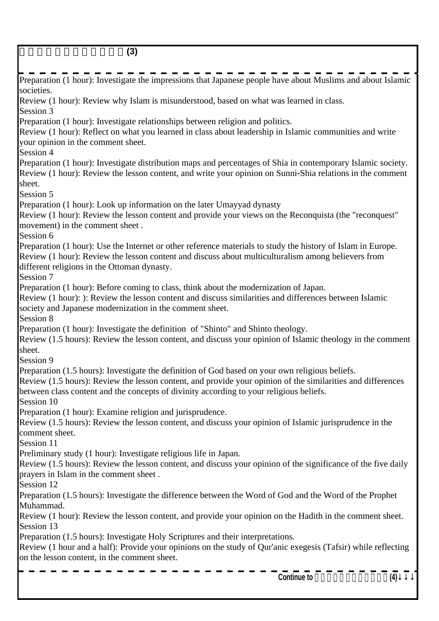イスラーム世界論特殊講義**(3)** Preparation (1 hour): Investigate the impressions that Japanese people have about Muslims and about Islamic societies. Review (1 hour): Review why Islam is misunderstood, based on what was learned in class. Session 3 Preparation (1 hour): Investigate relationships between religion and politics. Review (1 hour): Reflect on what you learned in class about leadership in Islamic communities and write your opinion in the comment sheet. Session 4 Preparation (1 hour): Investigate distribution maps and percentages of Shia in contemporary Islamic society. Review (1 hour): Review the lesson content, and write your opinion on Sunni-Shia relations in the comment sheet. Session 5 Preparation (1 hour): Look up information on the later Umayyad dynasty Review (1 hour): Review the lesson content and provide your views on the Reconquista (the "reconquest" movement) in the comment sheet . Session 6 Preparation (1 hour): Use the Internet or other reference materials to study the history of Islam in Europe. Review (1 hour): Review the lesson content and discuss about multiculturalism among believers from different religions in the Ottoman dynasty. Session 7 Preparation (1 hour): Before coming to class, think about the modernization of Japan. Review (1 hour): ): Review the lesson content and discuss similarities and differences between Islamic society and Japanese modernization in the comment sheet. Session 8 Preparation (1 hour): Investigate the definition of "Shinto" and Shinto theology. Review (1.5 hours): Review the lesson content, and discuss your opinion of Islamic theology in the comment sheet. Session 9 Preparation (1.5 hours): Investigate the definition of God based on your own religious beliefs. Review (1.5 hours): Review the lesson content, and provide your opinion of the similarities and differences between class content and the concepts of divinity according to your religious beliefs. Session 10 Preparation (1 hour): Examine religion and jurisprudence. Review (1.5 hours): Review the lesson content, and discuss your opinion of Islamic jurisprudence in the comment sheet. Session 11 Preliminary study (1 hour): Investigate religious life in Japan. Review (1.5 hours): Review the lesson content, and discuss your opinion of the significance of the five daily prayers in Islam in the comment sheet . Session 12 Preparation (1.5 hours): Investigate the difference between the Word of God and the Word of the Prophet Muhammad. Review (1 hour): Review the lesson content, and provide your opinion on the Hadith in the comment sheet. Session 13 Preparation (1.5 hours): Investigate Holy Scriptures and their interpretations. Review (1 hour and a half): Provide your opinions on the study of Qur'anic exegesis (Tafsir) while reflecting on the lesson content, in the comment sheet. Continue to (4)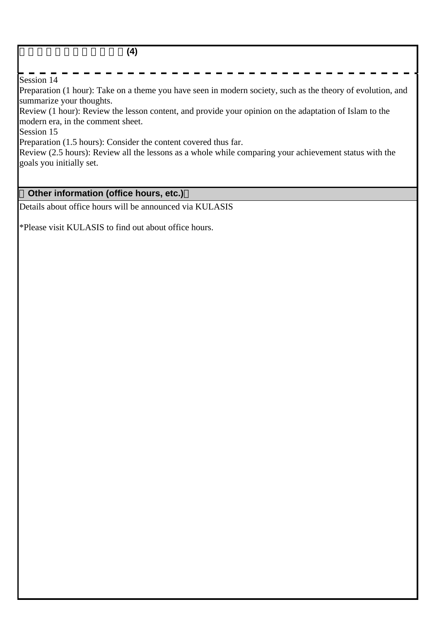#### イスラーム世界論特殊講義**(4)**

#### Session 14

Preparation (1 hour): Take on a theme you have seen in modern society, such as the theory of evolution, and summarize your thoughts.

Review (1 hour): Review the lesson content, and provide your opinion on the adaptation of Islam to the modern era, in the comment sheet.

Session 15

Preparation (1.5 hours): Consider the content covered thus far.

Review (2.5 hours): Review all the lessons as a whole while comparing your achievement status with the goals you initially set.

## **Other information (office hours, etc.)**

Details about office hours will be announced via KULASIS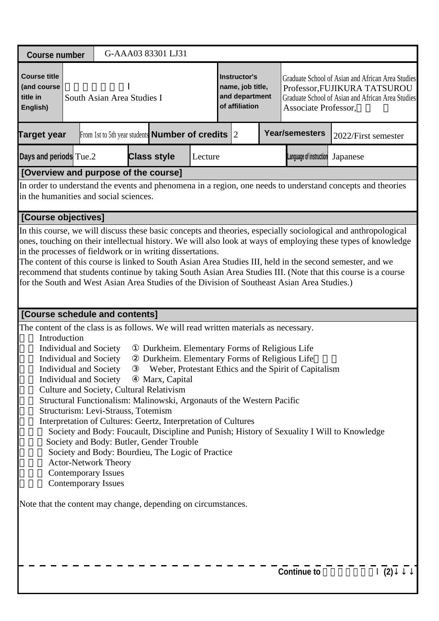| <b>Course number</b>                                                                                                                                                  |                                                                                                                                                                                                                                                                                                                                                                                                                                                                                                                                                                                                                          | G-AAA03 83301 LJ31                                           |                                                                                                                                                       |                                                                             |  |                         |                                                                                                                                        |  |  |  |  |
|-----------------------------------------------------------------------------------------------------------------------------------------------------------------------|--------------------------------------------------------------------------------------------------------------------------------------------------------------------------------------------------------------------------------------------------------------------------------------------------------------------------------------------------------------------------------------------------------------------------------------------------------------------------------------------------------------------------------------------------------------------------------------------------------------------------|--------------------------------------------------------------|-------------------------------------------------------------------------------------------------------------------------------------------------------|-----------------------------------------------------------------------------|--|-------------------------|----------------------------------------------------------------------------------------------------------------------------------------|--|--|--|--|
| <b>Course title</b><br>(and course<br>title in<br>English)                                                                                                            | South Asian Area Studies I                                                                                                                                                                                                                                                                                                                                                                                                                                                                                                                                                                                               |                                                              |                                                                                                                                                       | <b>Instructor's</b><br>name, job title,<br>and department<br>of affiliation |  | Associate Professor,    | Graduate School of Asian and African Area Studies<br>Professor, FUJIKURA TATSUROU<br>Graduate School of Asian and African Area Studies |  |  |  |  |
| <b>Target year</b>                                                                                                                                                    |                                                                                                                                                                                                                                                                                                                                                                                                                                                                                                                                                                                                                          | From 1st to 5th year students <b>Number of credits</b> $ 2 $ |                                                                                                                                                       |                                                                             |  | <b>Year/semesters</b>   | 2022/First semester                                                                                                                    |  |  |  |  |
| Days and periods Tue.2                                                                                                                                                |                                                                                                                                                                                                                                                                                                                                                                                                                                                                                                                                                                                                                          | <b>Class style</b>                                           | Lecture                                                                                                                                               |                                                                             |  | Language of instruction | Japanese                                                                                                                               |  |  |  |  |
| [Overview and purpose of the course]                                                                                                                                  |                                                                                                                                                                                                                                                                                                                                                                                                                                                                                                                                                                                                                          |                                                              |                                                                                                                                                       |                                                                             |  |                         |                                                                                                                                        |  |  |  |  |
| in the humanities and social sciences.                                                                                                                                |                                                                                                                                                                                                                                                                                                                                                                                                                                                                                                                                                                                                                          |                                                              |                                                                                                                                                       |                                                                             |  |                         | In order to understand the events and phenomena in a region, one needs to understand concepts and theories                             |  |  |  |  |
| [Course objectives]                                                                                                                                                   |                                                                                                                                                                                                                                                                                                                                                                                                                                                                                                                                                                                                                          |                                                              |                                                                                                                                                       |                                                                             |  |                         |                                                                                                                                        |  |  |  |  |
|                                                                                                                                                                       | In this course, we will discuss these basic concepts and theories, especially sociological and anthropological<br>ones, touching on their intellectual history. We will also look at ways of employing these types of knowledge<br>in the processes of fieldwork or in writing dissertations.<br>The content of this course is linked to South Asian Area Studies III, held in the second semester, and we<br>recommend that students continue by taking South Asian Area Studies III. (Note that this course is a course<br>for the South and West Asian Area Studies of the Division of Southeast Asian Area Studies.) |                                                              |                                                                                                                                                       |                                                                             |  |                         |                                                                                                                                        |  |  |  |  |
|                                                                                                                                                                       | [Course schedule and contents]                                                                                                                                                                                                                                                                                                                                                                                                                                                                                                                                                                                           |                                                              |                                                                                                                                                       |                                                                             |  |                         |                                                                                                                                        |  |  |  |  |
| The content of the class is as follows. We will read written materials as necessary.<br>Introduction<br>Note that the content may change, depending on circumstances. | Individual and Society<br>Individual and Society<br><b>Individual and Society</b><br><b>Individual and Society</b><br>Culture and Society, Cultural Relativism<br>Structural Functionalism: Malinowski, Argonauts of the Western Pacific<br>Structurism: Levi-Strauss, Totemism<br>Interpretation of Cultures: Geertz, Interpretation of Cultures<br>Society and Body: Butler, Gender Trouble<br>Society and Body: Bourdieu, The Logic of Practice<br><b>Actor-Network Theory</b><br><b>Contemporary Issues</b><br><b>Contemporary Issues</b>                                                                            | Marx, Capital                                                | Durkheim. Elementary Forms of Religious Life<br>Durkheim. Elementary Forms of Religious Life<br>Weber, Protestant Ethics and the Spirit of Capitalism |                                                                             |  |                         | Society and Body: Foucault, Discipline and Punish; History of Sexuality I Will to Knowledge                                            |  |  |  |  |
|                                                                                                                                                                       |                                                                                                                                                                                                                                                                                                                                                                                                                                                                                                                                                                                                                          |                                                              |                                                                                                                                                       |                                                                             |  |                         |                                                                                                                                        |  |  |  |  |
|                                                                                                                                                                       |                                                                                                                                                                                                                                                                                                                                                                                                                                                                                                                                                                                                                          |                                                              |                                                                                                                                                       |                                                                             |  | <b>Continue to</b>      | (2)                                                                                                                                    |  |  |  |  |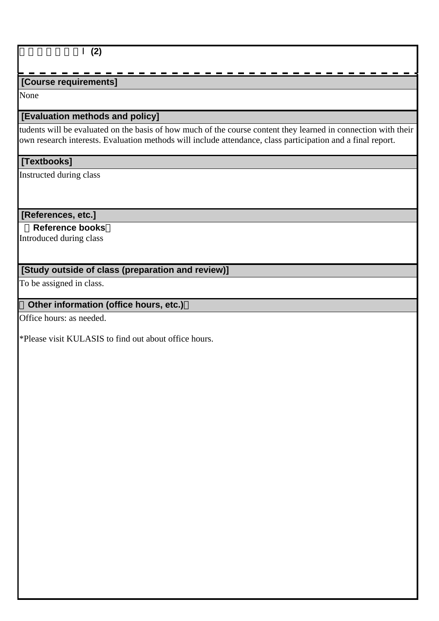### 南アジア地域論Ⅰ**(2)**

# **[Course requirements]**

None

### **[Evaluation methods and policy]**

tudents will be evaluated on the basis of how much of the course content they learned in connection with their own research interests. Evaluation methods will include attendance, class participation and a final report.

### **[Textbooks]**

Instructed during class

#### **[References, etc.]**

#### **Reference books**

Introduced during class

## **[Study outside of class (preparation and review)]**

To be assigned in class.

# **Other information (office hours, etc.)**

Office hours: as needed.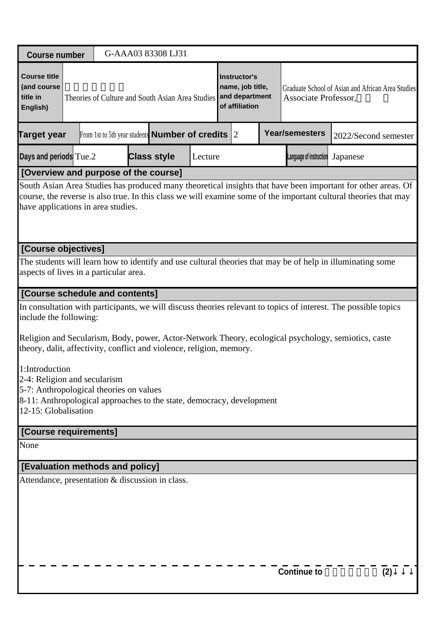| <b>Course number</b>                                                                                                                                                                       |                                                                                                                                                      |  |  |  |  | G-AAA03 83308 LJ31                                           |         |  |                                                                      |  |                                                                                                                                                                                                                                  |          |                      |
|--------------------------------------------------------------------------------------------------------------------------------------------------------------------------------------------|------------------------------------------------------------------------------------------------------------------------------------------------------|--|--|--|--|--------------------------------------------------------------|---------|--|----------------------------------------------------------------------|--|----------------------------------------------------------------------------------------------------------------------------------------------------------------------------------------------------------------------------------|----------|----------------------|
| <b>Course title</b><br>(and course<br>title in<br>English)                                                                                                                                 |                                                                                                                                                      |  |  |  |  | Theories of Culture and South Asian Area Studies             |         |  | Instructor's<br>name, job title,<br>and department<br>of affiliation |  | Graduate School of Asian and African Area Studies<br>Associate Professor,                                                                                                                                                        |          |                      |
| Target year                                                                                                                                                                                |                                                                                                                                                      |  |  |  |  | From 1st to 5th year students <b>Number of credits</b> $ 2 $ |         |  |                                                                      |  | <b>Year/semesters</b>                                                                                                                                                                                                            |          | 2022/Second semester |
| Days and periods Tue.2                                                                                                                                                                     |                                                                                                                                                      |  |  |  |  | <b>Class style</b>                                           | Lecture |  |                                                                      |  | Language of instruction                                                                                                                                                                                                          | Japanese |                      |
| [Overview and purpose of the course]                                                                                                                                                       |                                                                                                                                                      |  |  |  |  |                                                              |         |  |                                                                      |  |                                                                                                                                                                                                                                  |          |                      |
| have applications in area studies.                                                                                                                                                         |                                                                                                                                                      |  |  |  |  |                                                              |         |  |                                                                      |  | South Asian Area Studies has produced many theoretical insights that have been important for other areas. Of<br>course, the reverse is also true. In this class we will examine some of the important cultural theories that may |          |                      |
|                                                                                                                                                                                            | [Course objectives]                                                                                                                                  |  |  |  |  |                                                              |         |  |                                                                      |  |                                                                                                                                                                                                                                  |          |                      |
|                                                                                                                                                                                            | The students will learn how to identify and use cultural theories that may be of help in illuminating some<br>aspects of lives in a particular area. |  |  |  |  |                                                              |         |  |                                                                      |  |                                                                                                                                                                                                                                  |          |                      |
|                                                                                                                                                                                            | [Course schedule and contents]                                                                                                                       |  |  |  |  |                                                              |         |  |                                                                      |  |                                                                                                                                                                                                                                  |          |                      |
|                                                                                                                                                                                            | In consultation with participants, we will discuss theories relevant to topics of interest. The possible topics<br>include the following:            |  |  |  |  |                                                              |         |  |                                                                      |  |                                                                                                                                                                                                                                  |          |                      |
| theory, dalit, affectivity, conflict and violence, religion, memory.                                                                                                                       |                                                                                                                                                      |  |  |  |  |                                                              |         |  |                                                                      |  | Religion and Secularism, Body, power, Actor-Network Theory, ecological psychology, semiotics, caste                                                                                                                              |          |                      |
| 1:Introduction<br>2-4: Religion and secularism<br>5-7: Anthropological theories on values<br>8-11: Anthropological approaches to the state, democracy, development<br>12-15: Globalisation |                                                                                                                                                      |  |  |  |  |                                                              |         |  |                                                                      |  |                                                                                                                                                                                                                                  |          |                      |
| [Course requirements]                                                                                                                                                                      |                                                                                                                                                      |  |  |  |  |                                                              |         |  |                                                                      |  |                                                                                                                                                                                                                                  |          |                      |
| None                                                                                                                                                                                       |                                                                                                                                                      |  |  |  |  |                                                              |         |  |                                                                      |  |                                                                                                                                                                                                                                  |          |                      |
| [Evaluation methods and policy]                                                                                                                                                            |                                                                                                                                                      |  |  |  |  |                                                              |         |  |                                                                      |  |                                                                                                                                                                                                                                  |          |                      |
| Attendance, presentation & discussion in class.                                                                                                                                            |                                                                                                                                                      |  |  |  |  |                                                              |         |  |                                                                      |  |                                                                                                                                                                                                                                  |          |                      |
|                                                                                                                                                                                            |                                                                                                                                                      |  |  |  |  |                                                              |         |  |                                                                      |  | <b>Continue to</b>                                                                                                                                                                                                               |          | (2)                  |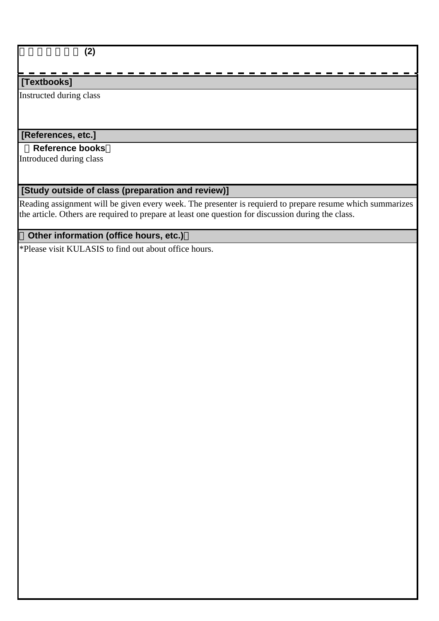### 南アジア文化論 **(2)**

## **[Textbooks]**

Instructed during class

# **[References, etc.]**

### **Reference books**

Introduced during class

## **[Study outside of class (preparation and review)]**

Reading assignment will be given every week. The presenter is requierd to prepare resume which summarizes the article. Others are required to prepare at least one question for discussion during the class.

# **Other information (office hours, etc.)**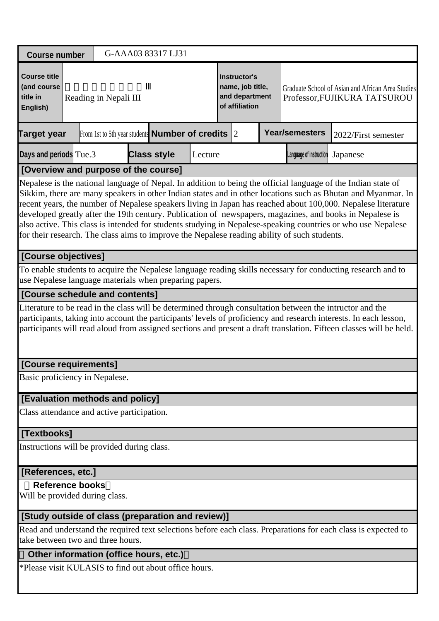| <b>Course number</b>                                                                                                                                                                                                                                                                                                                                                                                                                                                                                                                                                                                                                                                      |                                                                                                                                                                                                                                                                                                                                                                                       |  |                       |  | G-AAA03 83317 LJ31                                           |         |  |                                                                      |  |                         |                                                                                                                |  |
|---------------------------------------------------------------------------------------------------------------------------------------------------------------------------------------------------------------------------------------------------------------------------------------------------------------------------------------------------------------------------------------------------------------------------------------------------------------------------------------------------------------------------------------------------------------------------------------------------------------------------------------------------------------------------|---------------------------------------------------------------------------------------------------------------------------------------------------------------------------------------------------------------------------------------------------------------------------------------------------------------------------------------------------------------------------------------|--|-----------------------|--|--------------------------------------------------------------|---------|--|----------------------------------------------------------------------|--|-------------------------|----------------------------------------------------------------------------------------------------------------|--|
| <b>Course title</b><br>(and course<br>title in<br>English)                                                                                                                                                                                                                                                                                                                                                                                                                                                                                                                                                                                                                |                                                                                                                                                                                                                                                                                                                                                                                       |  | Reading in Nepali III |  |                                                              |         |  | Instructor's<br>name, job title,<br>and department<br>of affiliation |  |                         | Graduate School of Asian and African Area Studies<br>Professor, FUJIKURA TATSUROU                              |  |
| <b>Target year</b>                                                                                                                                                                                                                                                                                                                                                                                                                                                                                                                                                                                                                                                        |                                                                                                                                                                                                                                                                                                                                                                                       |  |                       |  | From 1st to 5th year students <b>Number of credits</b> $ 2 $ |         |  |                                                                      |  | <b>Year/semesters</b>   | 2022/First semester                                                                                            |  |
| Days and periods Tue.3                                                                                                                                                                                                                                                                                                                                                                                                                                                                                                                                                                                                                                                    |                                                                                                                                                                                                                                                                                                                                                                                       |  |                       |  | <b>Class style</b>                                           | Lecture |  |                                                                      |  | Language of instruction | Japanese                                                                                                       |  |
| [Overview and purpose of the course]                                                                                                                                                                                                                                                                                                                                                                                                                                                                                                                                                                                                                                      |                                                                                                                                                                                                                                                                                                                                                                                       |  |                       |  |                                                              |         |  |                                                                      |  |                         |                                                                                                                |  |
| Nepalese is the national language of Nepal. In addition to being the official language of the Indian state of<br>Sikkim, there are many speakers in other Indian states and in other locations such as Bhutan and Myanmar. In<br>recent years, the number of Nepalese speakers living in Japan has reached about 100,000. Nepalese literature<br>developed greatly after the 19th century. Publication of newspapers, magazines, and books in Nepalese is<br>also active. This class is intended for students studying in Nepalese-speaking countries or who use Nepalese<br>for their research. The class aims to improve the Nepalese reading ability of such students. |                                                                                                                                                                                                                                                                                                                                                                                       |  |                       |  |                                                              |         |  |                                                                      |  |                         |                                                                                                                |  |
| [Course objectives]                                                                                                                                                                                                                                                                                                                                                                                                                                                                                                                                                                                                                                                       |                                                                                                                                                                                                                                                                                                                                                                                       |  |                       |  |                                                              |         |  |                                                                      |  |                         |                                                                                                                |  |
| To enable students to acquire the Nepalese language reading skills necessary for conducting research and to<br>use Nepalese language materials when preparing papers.                                                                                                                                                                                                                                                                                                                                                                                                                                                                                                     |                                                                                                                                                                                                                                                                                                                                                                                       |  |                       |  |                                                              |         |  |                                                                      |  |                         |                                                                                                                |  |
|                                                                                                                                                                                                                                                                                                                                                                                                                                                                                                                                                                                                                                                                           |                                                                                                                                                                                                                                                                                                                                                                                       |  |                       |  |                                                              |         |  |                                                                      |  |                         |                                                                                                                |  |
|                                                                                                                                                                                                                                                                                                                                                                                                                                                                                                                                                                                                                                                                           | [Course schedule and contents]<br>Literature to be read in the class will be determined through consultation between the intructor and the<br>participants, taking into account the participants' levels of proficiency and research interests. In each lesson,<br>participants will read aloud from assigned sections and present a draft translation. Fifteen classes will be held. |  |                       |  |                                                              |         |  |                                                                      |  |                         |                                                                                                                |  |
| [Course requirements]                                                                                                                                                                                                                                                                                                                                                                                                                                                                                                                                                                                                                                                     |                                                                                                                                                                                                                                                                                                                                                                                       |  |                       |  |                                                              |         |  |                                                                      |  |                         |                                                                                                                |  |
| Basic proficiency in Nepalese.                                                                                                                                                                                                                                                                                                                                                                                                                                                                                                                                                                                                                                            |                                                                                                                                                                                                                                                                                                                                                                                       |  |                       |  |                                                              |         |  |                                                                      |  |                         |                                                                                                                |  |
| [Evaluation methods and policy]                                                                                                                                                                                                                                                                                                                                                                                                                                                                                                                                                                                                                                           |                                                                                                                                                                                                                                                                                                                                                                                       |  |                       |  |                                                              |         |  |                                                                      |  |                         |                                                                                                                |  |
| Class attendance and active participation.                                                                                                                                                                                                                                                                                                                                                                                                                                                                                                                                                                                                                                |                                                                                                                                                                                                                                                                                                                                                                                       |  |                       |  |                                                              |         |  |                                                                      |  |                         |                                                                                                                |  |
| [Textbooks]                                                                                                                                                                                                                                                                                                                                                                                                                                                                                                                                                                                                                                                               |                                                                                                                                                                                                                                                                                                                                                                                       |  |                       |  |                                                              |         |  |                                                                      |  |                         |                                                                                                                |  |
| Instructions will be provided during class.                                                                                                                                                                                                                                                                                                                                                                                                                                                                                                                                                                                                                               |                                                                                                                                                                                                                                                                                                                                                                                       |  |                       |  |                                                              |         |  |                                                                      |  |                         |                                                                                                                |  |
| [References, etc.]                                                                                                                                                                                                                                                                                                                                                                                                                                                                                                                                                                                                                                                        |                                                                                                                                                                                                                                                                                                                                                                                       |  |                       |  |                                                              |         |  |                                                                      |  |                         |                                                                                                                |  |
| <b>Reference books</b><br>Will be provided during class.                                                                                                                                                                                                                                                                                                                                                                                                                                                                                                                                                                                                                  |                                                                                                                                                                                                                                                                                                                                                                                       |  |                       |  |                                                              |         |  |                                                                      |  |                         |                                                                                                                |  |
| [Study outside of class (preparation and review)]                                                                                                                                                                                                                                                                                                                                                                                                                                                                                                                                                                                                                         |                                                                                                                                                                                                                                                                                                                                                                                       |  |                       |  |                                                              |         |  |                                                                      |  |                         |                                                                                                                |  |
| take between two and three hours.                                                                                                                                                                                                                                                                                                                                                                                                                                                                                                                                                                                                                                         |                                                                                                                                                                                                                                                                                                                                                                                       |  |                       |  |                                                              |         |  |                                                                      |  |                         | Read and understand the required text selections before each class. Preparations for each class is expected to |  |
|                                                                                                                                                                                                                                                                                                                                                                                                                                                                                                                                                                                                                                                                           |                                                                                                                                                                                                                                                                                                                                                                                       |  |                       |  |                                                              |         |  |                                                                      |  |                         |                                                                                                                |  |

#### **Other information (office hours, etc.)**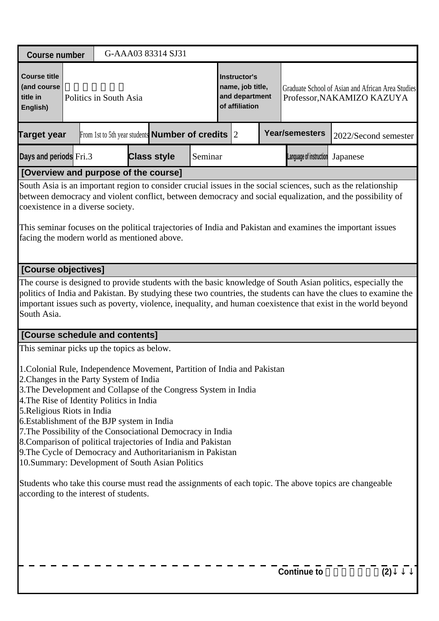| <b>Course title</b><br><b>Instructor's</b><br>(and course<br>name, job title,<br>and department<br>title in<br>Politics in South Asia<br>Professor, NAKAMIZO KAZUYA<br>of affiliation<br>English)<br><b>Year/semesters</b><br>From 1st to 5th year students <b>Number of credits</b> $ 2 $<br><b>Target year</b><br>2022/Second semester<br><b>Class style</b><br>Days and periods Fri.3<br>Seminar<br>Language of instruction<br>Japanese<br>[Overview and purpose of the course]<br>South Asia is an important region to consider crucial issues in the social sciences, such as the relationship<br>between democracy and violent conflict, between democracy and social equalization, and the possibility of<br>coexistence in a diverse society.<br>This seminar focuses on the political trajectories of India and Pakistan and examines the important issues<br>facing the modern world as mentioned above.<br>[Course objectives]<br>The course is designed to provide students with the basic knowledge of South Asian politics, especially the<br>politics of India and Pakistan. By studying these two countries, the students can have the clues to examine the<br>important issues such as poverty, violence, inequality, and human coexistence that exist in the world beyond<br>South Asia.<br>[Course schedule and contents]<br>This seminar picks up the topics as below.<br>1. Colonial Rule, Independence Movement, Partition of India and Pakistan<br>2. Changes in the Party System of India<br>3. The Development and Collapse of the Congress System in India<br>4. The Rise of Identity Politics in India<br>5. Religious Riots in India<br>6. Establishment of the BJP system in India<br>7. The Possibility of the Consociational Democracy in India<br>8. Comparison of political trajectories of India and Pakistan<br>9. The Cycle of Democracy and Authoritarianism in Pakistan<br>10.Summary: Development of South Asian Politics<br>Students who take this course must read the assignments of each topic. The above topics are changeable<br>according to the interest of students. | G-AAA03 83314 SJ31<br><b>Course number</b> |                                                   |  |  |  |  |  |  |  |  |  |  |  |  |
|----------------------------------------------------------------------------------------------------------------------------------------------------------------------------------------------------------------------------------------------------------------------------------------------------------------------------------------------------------------------------------------------------------------------------------------------------------------------------------------------------------------------------------------------------------------------------------------------------------------------------------------------------------------------------------------------------------------------------------------------------------------------------------------------------------------------------------------------------------------------------------------------------------------------------------------------------------------------------------------------------------------------------------------------------------------------------------------------------------------------------------------------------------------------------------------------------------------------------------------------------------------------------------------------------------------------------------------------------------------------------------------------------------------------------------------------------------------------------------------------------------------------------------------------------------------------------------------------------------------------------------------------------------------------------------------------------------------------------------------------------------------------------------------------------------------------------------------------------------------------------------------------------------------------------------------------------------------------------------------------------------------------------------------------------------------------------------------------------------------------|--------------------------------------------|---------------------------------------------------|--|--|--|--|--|--|--|--|--|--|--|--|
|                                                                                                                                                                                                                                                                                                                                                                                                                                                                                                                                                                                                                                                                                                                                                                                                                                                                                                                                                                                                                                                                                                                                                                                                                                                                                                                                                                                                                                                                                                                                                                                                                                                                                                                                                                                                                                                                                                                                                                                                                                                                                                                      |                                            | Graduate School of Asian and African Area Studies |  |  |  |  |  |  |  |  |  |  |  |  |
|                                                                                                                                                                                                                                                                                                                                                                                                                                                                                                                                                                                                                                                                                                                                                                                                                                                                                                                                                                                                                                                                                                                                                                                                                                                                                                                                                                                                                                                                                                                                                                                                                                                                                                                                                                                                                                                                                                                                                                                                                                                                                                                      |                                            |                                                   |  |  |  |  |  |  |  |  |  |  |  |  |
|                                                                                                                                                                                                                                                                                                                                                                                                                                                                                                                                                                                                                                                                                                                                                                                                                                                                                                                                                                                                                                                                                                                                                                                                                                                                                                                                                                                                                                                                                                                                                                                                                                                                                                                                                                                                                                                                                                                                                                                                                                                                                                                      |                                            |                                                   |  |  |  |  |  |  |  |  |  |  |  |  |
|                                                                                                                                                                                                                                                                                                                                                                                                                                                                                                                                                                                                                                                                                                                                                                                                                                                                                                                                                                                                                                                                                                                                                                                                                                                                                                                                                                                                                                                                                                                                                                                                                                                                                                                                                                                                                                                                                                                                                                                                                                                                                                                      |                                            |                                                   |  |  |  |  |  |  |  |  |  |  |  |  |
|                                                                                                                                                                                                                                                                                                                                                                                                                                                                                                                                                                                                                                                                                                                                                                                                                                                                                                                                                                                                                                                                                                                                                                                                                                                                                                                                                                                                                                                                                                                                                                                                                                                                                                                                                                                                                                                                                                                                                                                                                                                                                                                      |                                            |                                                   |  |  |  |  |  |  |  |  |  |  |  |  |
|                                                                                                                                                                                                                                                                                                                                                                                                                                                                                                                                                                                                                                                                                                                                                                                                                                                                                                                                                                                                                                                                                                                                                                                                                                                                                                                                                                                                                                                                                                                                                                                                                                                                                                                                                                                                                                                                                                                                                                                                                                                                                                                      |                                            |                                                   |  |  |  |  |  |  |  |  |  |  |  |  |
|                                                                                                                                                                                                                                                                                                                                                                                                                                                                                                                                                                                                                                                                                                                                                                                                                                                                                                                                                                                                                                                                                                                                                                                                                                                                                                                                                                                                                                                                                                                                                                                                                                                                                                                                                                                                                                                                                                                                                                                                                                                                                                                      |                                            |                                                   |  |  |  |  |  |  |  |  |  |  |  |  |
|                                                                                                                                                                                                                                                                                                                                                                                                                                                                                                                                                                                                                                                                                                                                                                                                                                                                                                                                                                                                                                                                                                                                                                                                                                                                                                                                                                                                                                                                                                                                                                                                                                                                                                                                                                                                                                                                                                                                                                                                                                                                                                                      |                                            |                                                   |  |  |  |  |  |  |  |  |  |  |  |  |
|                                                                                                                                                                                                                                                                                                                                                                                                                                                                                                                                                                                                                                                                                                                                                                                                                                                                                                                                                                                                                                                                                                                                                                                                                                                                                                                                                                                                                                                                                                                                                                                                                                                                                                                                                                                                                                                                                                                                                                                                                                                                                                                      |                                            |                                                   |  |  |  |  |  |  |  |  |  |  |  |  |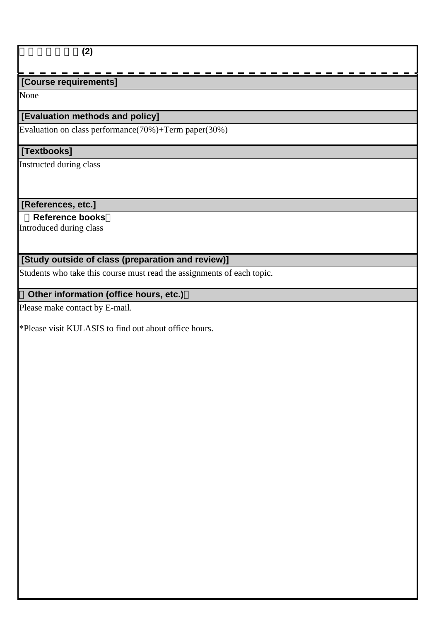#### 南アジア政治論**(2)**

# **[Course requirements]**

None

### **[Evaluation methods and policy]**

Evaluation on class performance(70%)+Term paper(30%)

# **[Textbooks]**

Instructed during class

#### **[References, etc.]**

 **Reference books**

Introduced during class

# **[Study outside of class (preparation and review)]**

Students who take this course must read the assignments of each topic.

### **Other information (office hours, etc.)**

Please make contact by E-mail.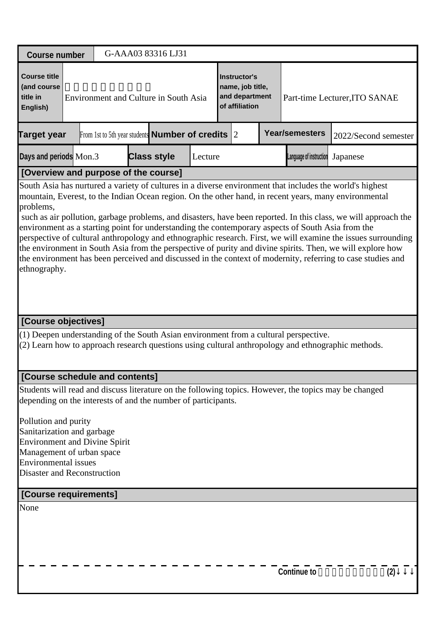| <b>Course number</b>                                                                                                                                                                                                                                                                                                                                                                                                                                                                                                                                                                                                                                                                                                                                                                                                 |  | G-AAA03 83316 LJ31                                           |         |                                                                      |                         |                               |     |
|----------------------------------------------------------------------------------------------------------------------------------------------------------------------------------------------------------------------------------------------------------------------------------------------------------------------------------------------------------------------------------------------------------------------------------------------------------------------------------------------------------------------------------------------------------------------------------------------------------------------------------------------------------------------------------------------------------------------------------------------------------------------------------------------------------------------|--|--------------------------------------------------------------|---------|----------------------------------------------------------------------|-------------------------|-------------------------------|-----|
| <b>Course title</b><br>(and course<br>title in<br>English)                                                                                                                                                                                                                                                                                                                                                                                                                                                                                                                                                                                                                                                                                                                                                           |  | Environment and Culture in South Asia                        |         | Instructor's<br>name, job title,<br>and department<br>of affiliation |                         | Part-time Lecturer, ITO SANAE |     |
| <b>Target year</b>                                                                                                                                                                                                                                                                                                                                                                                                                                                                                                                                                                                                                                                                                                                                                                                                   |  | From 1st to 5th year students <b>Number of credits</b> $ 2 $ |         |                                                                      | <b>Year/semesters</b>   | 2022/Second semester          |     |
| Days and periods Mon.3                                                                                                                                                                                                                                                                                                                                                                                                                                                                                                                                                                                                                                                                                                                                                                                               |  | <b>Class style</b>                                           | Lecture |                                                                      | Language of instruction | Japanese                      |     |
| [Overview and purpose of the course]                                                                                                                                                                                                                                                                                                                                                                                                                                                                                                                                                                                                                                                                                                                                                                                 |  |                                                              |         |                                                                      |                         |                               |     |
| South Asia has nurtured a variety of cultures in a diverse environment that includes the world's highest<br>mountain, Everest, to the Indian Ocean region. On the other hand, in recent years, many environmental<br>problems,<br>such as air pollution, garbage problems, and disasters, have been reported. In this class, we will approach the<br>environment as a starting point for understanding the contemporary aspects of South Asia from the<br>perspective of cultural anthropology and ethnographic research. First, we will examine the issues surrounding<br>the environment in South Asia from the perspective of purity and divine spirits. Then, we will explore how<br>the environment has been perceived and discussed in the context of modernity, referring to case studies and<br>ethnography. |  |                                                              |         |                                                                      |                         |                               |     |
| [Course objectives]                                                                                                                                                                                                                                                                                                                                                                                                                                                                                                                                                                                                                                                                                                                                                                                                  |  |                                                              |         |                                                                      |                         |                               |     |
| (1) Deepen understanding of the South Asian environment from a cultural perspective.<br>(2) Learn how to approach research questions using cultural anthropology and ethnographic methods.                                                                                                                                                                                                                                                                                                                                                                                                                                                                                                                                                                                                                           |  |                                                              |         |                                                                      |                         |                               |     |
| [Course schedule and contents]                                                                                                                                                                                                                                                                                                                                                                                                                                                                                                                                                                                                                                                                                                                                                                                       |  |                                                              |         |                                                                      |                         |                               |     |
| Students will read and discuss literature on the following topics. However, the topics may be changed<br>depending on the interests of and the number of participants.<br>Pollution and purity<br>Sanitarization and garbage<br><b>Environment and Divine Spirit</b><br>Management of urban space<br><b>Environmental</b> issues                                                                                                                                                                                                                                                                                                                                                                                                                                                                                     |  |                                                              |         |                                                                      |                         |                               |     |
| <b>Disaster and Reconstruction</b>                                                                                                                                                                                                                                                                                                                                                                                                                                                                                                                                                                                                                                                                                                                                                                                   |  |                                                              |         |                                                                      |                         |                               |     |
| [Course requirements]                                                                                                                                                                                                                                                                                                                                                                                                                                                                                                                                                                                                                                                                                                                                                                                                |  |                                                              |         |                                                                      |                         |                               |     |
| None                                                                                                                                                                                                                                                                                                                                                                                                                                                                                                                                                                                                                                                                                                                                                                                                                 |  |                                                              |         |                                                                      | <b>Continue to</b>      |                               | (2) |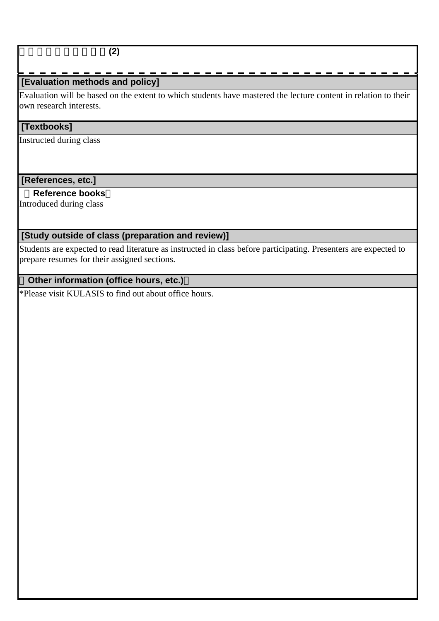### **[Evaluation methods and policy]**

Evaluation will be based on the extent to which students have mastered the lecture content in relation to their own research interests.

#### **[Textbooks]**

Instructed during class

#### **[References, etc.]**

#### **Reference books**

Introduced during class

# **[Study outside of class (preparation and review)]**

Students are expected to read literature as instructed in class before participating. Presenters are expected to prepare resumes for their assigned sections.

## **Other information (office hours, etc.)**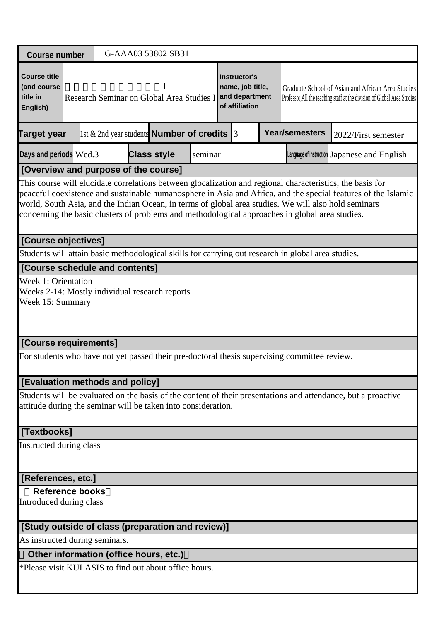| <b>Course number</b>                                                                               |                                                                                                                                                                                                                                                                                                                                                                                                                                       |  |  |  | G-AAA03 53802 SB31                                  |         |  |                                                                             |  |                                                                                              |                                                                                                                               |  |
|----------------------------------------------------------------------------------------------------|---------------------------------------------------------------------------------------------------------------------------------------------------------------------------------------------------------------------------------------------------------------------------------------------------------------------------------------------------------------------------------------------------------------------------------------|--|--|--|-----------------------------------------------------|---------|--|-----------------------------------------------------------------------------|--|----------------------------------------------------------------------------------------------|-------------------------------------------------------------------------------------------------------------------------------|--|
| <b>Course title</b><br>(and course<br>title in<br>English)                                         |                                                                                                                                                                                                                                                                                                                                                                                                                                       |  |  |  | Research Seminar on Global Area Studies I           |         |  | <b>Instructor's</b><br>name, job title,<br>and department<br>of affiliation |  |                                                                                              | Graduate School of Asian and African Area Studies<br>Professor, All the teaching staff at the division of Global Area Studies |  |
| <b>Target year</b>                                                                                 |                                                                                                                                                                                                                                                                                                                                                                                                                                       |  |  |  | 1st $\&$ 2nd year students <b>Number of credits</b> |         |  | 13                                                                          |  | <b>Year/semesters</b>                                                                        | 2022/First semester                                                                                                           |  |
| Days and periods Wed.3                                                                             |                                                                                                                                                                                                                                                                                                                                                                                                                                       |  |  |  | <b>Class style</b>                                  | seminar |  |                                                                             |  |                                                                                              | Language of instruction Japanese and English                                                                                  |  |
| [Overview and purpose of the course]                                                               |                                                                                                                                                                                                                                                                                                                                                                                                                                       |  |  |  |                                                     |         |  |                                                                             |  |                                                                                              |                                                                                                                               |  |
|                                                                                                    | This course will elucidate correlations between glocalization and regional characteristics, the basis for<br>peaceful coexistence and sustainable humanosphere in Asia and Africa, and the special features of the Islamic<br>world, South Asia, and the Indian Ocean, in terms of global area studies. We will also hold seminars<br>concerning the basic clusters of problems and methodological approaches in global area studies. |  |  |  |                                                     |         |  |                                                                             |  |                                                                                              |                                                                                                                               |  |
| [Course objectives]                                                                                |                                                                                                                                                                                                                                                                                                                                                                                                                                       |  |  |  |                                                     |         |  |                                                                             |  |                                                                                              |                                                                                                                               |  |
| Students will attain basic methodological skills for carrying out research in global area studies. |                                                                                                                                                                                                                                                                                                                                                                                                                                       |  |  |  |                                                     |         |  |                                                                             |  |                                                                                              |                                                                                                                               |  |
| [Course schedule and contents]                                                                     |                                                                                                                                                                                                                                                                                                                                                                                                                                       |  |  |  |                                                     |         |  |                                                                             |  |                                                                                              |                                                                                                                               |  |
| <b>Week 1: Orientation</b><br>Weeks 2-14: Mostly individual research reports<br>Week 15: Summary   |                                                                                                                                                                                                                                                                                                                                                                                                                                       |  |  |  |                                                     |         |  |                                                                             |  |                                                                                              |                                                                                                                               |  |
| [Course requirements]                                                                              |                                                                                                                                                                                                                                                                                                                                                                                                                                       |  |  |  |                                                     |         |  |                                                                             |  |                                                                                              |                                                                                                                               |  |
|                                                                                                    |                                                                                                                                                                                                                                                                                                                                                                                                                                       |  |  |  |                                                     |         |  |                                                                             |  | For students who have not yet passed their pre-doctoral thesis supervising committee review. |                                                                                                                               |  |
| [Evaluation methods and policy]                                                                    |                                                                                                                                                                                                                                                                                                                                                                                                                                       |  |  |  |                                                     |         |  |                                                                             |  |                                                                                              |                                                                                                                               |  |
| attitude during the seminar will be taken into consideration.                                      |                                                                                                                                                                                                                                                                                                                                                                                                                                       |  |  |  |                                                     |         |  |                                                                             |  |                                                                                              | Students will be evaluated on the basis of the content of their presentations and attendance, but a proactive                 |  |
| [Textbooks]                                                                                        |                                                                                                                                                                                                                                                                                                                                                                                                                                       |  |  |  |                                                     |         |  |                                                                             |  |                                                                                              |                                                                                                                               |  |
| Instructed during class                                                                            |                                                                                                                                                                                                                                                                                                                                                                                                                                       |  |  |  |                                                     |         |  |                                                                             |  |                                                                                              |                                                                                                                               |  |
| [References, etc.]                                                                                 |                                                                                                                                                                                                                                                                                                                                                                                                                                       |  |  |  |                                                     |         |  |                                                                             |  |                                                                                              |                                                                                                                               |  |
| <b>Reference books</b><br>Introduced during class                                                  |                                                                                                                                                                                                                                                                                                                                                                                                                                       |  |  |  |                                                     |         |  |                                                                             |  |                                                                                              |                                                                                                                               |  |
| [Study outside of class (preparation and review)]                                                  |                                                                                                                                                                                                                                                                                                                                                                                                                                       |  |  |  |                                                     |         |  |                                                                             |  |                                                                                              |                                                                                                                               |  |
| As instructed during seminars.                                                                     |                                                                                                                                                                                                                                                                                                                                                                                                                                       |  |  |  |                                                     |         |  |                                                                             |  |                                                                                              |                                                                                                                               |  |
| Other information (office hours, etc.)                                                             |                                                                                                                                                                                                                                                                                                                                                                                                                                       |  |  |  |                                                     |         |  |                                                                             |  |                                                                                              |                                                                                                                               |  |
| *Please visit KULASIS to find out about office hours.                                              |                                                                                                                                                                                                                                                                                                                                                                                                                                       |  |  |  |                                                     |         |  |                                                                             |  |                                                                                              |                                                                                                                               |  |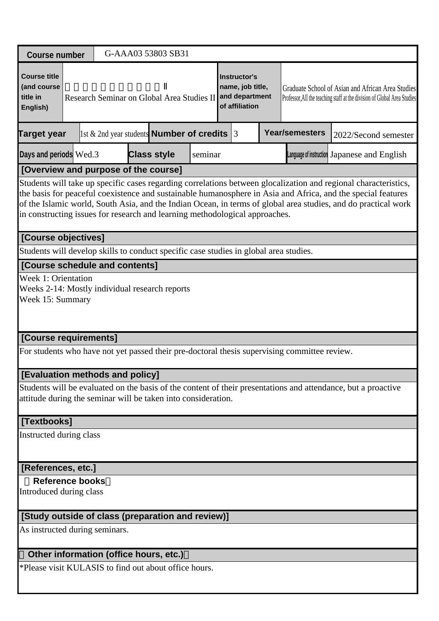| <b>Course number</b>                                                                             |                                                                                                                                                                                                                                                                                                                                                                                                                                  |  |  |  | G-AAA03 53803 SB31                                  |         |  |                                                                      |  |                                                                                              |                                                                                                                               |  |
|--------------------------------------------------------------------------------------------------|----------------------------------------------------------------------------------------------------------------------------------------------------------------------------------------------------------------------------------------------------------------------------------------------------------------------------------------------------------------------------------------------------------------------------------|--|--|--|-----------------------------------------------------|---------|--|----------------------------------------------------------------------|--|----------------------------------------------------------------------------------------------|-------------------------------------------------------------------------------------------------------------------------------|--|
| <b>Course title</b><br>(and course<br>title in<br>English)                                       |                                                                                                                                                                                                                                                                                                                                                                                                                                  |  |  |  | Research Seminar on Global Area Studies II          |         |  | Instructor's<br>name, job title,<br>and department<br>of affiliation |  |                                                                                              | Graduate School of Asian and African Area Studies<br>Professor, All the teaching staff at the division of Global Area Studies |  |
| <b>Target year</b>                                                                               |                                                                                                                                                                                                                                                                                                                                                                                                                                  |  |  |  | 1st $\&$ 2nd year students <b>Number of credits</b> |         |  | 3                                                                    |  | <b>Year/semesters</b>                                                                        | 2022/Second semester                                                                                                          |  |
| Days and periods Wed.3                                                                           |                                                                                                                                                                                                                                                                                                                                                                                                                                  |  |  |  | <b>Class style</b>                                  | seminar |  |                                                                      |  |                                                                                              | Language of instruction Japanese and English                                                                                  |  |
| [Overview and purpose of the course]                                                             |                                                                                                                                                                                                                                                                                                                                                                                                                                  |  |  |  |                                                     |         |  |                                                                      |  |                                                                                              |                                                                                                                               |  |
|                                                                                                  | Students will take up specific cases regarding correlations between glocalization and regional characteristics,<br>the basis for peaceful coexistence and sustainable humanosphere in Asia and Africa, and the special features<br>of the Islamic world, South Asia, and the Indian Ocean, in terms of global area studies, and do practical work<br>in constructing issues for research and learning methodological approaches. |  |  |  |                                                     |         |  |                                                                      |  |                                                                                              |                                                                                                                               |  |
| [Course objectives]                                                                              |                                                                                                                                                                                                                                                                                                                                                                                                                                  |  |  |  |                                                     |         |  |                                                                      |  |                                                                                              |                                                                                                                               |  |
| Students will develop skills to conduct specific case studies in global area studies.            |                                                                                                                                                                                                                                                                                                                                                                                                                                  |  |  |  |                                                     |         |  |                                                                      |  |                                                                                              |                                                                                                                               |  |
| [Course schedule and contents]                                                                   |                                                                                                                                                                                                                                                                                                                                                                                                                                  |  |  |  |                                                     |         |  |                                                                      |  |                                                                                              |                                                                                                                               |  |
| <b>Week 1: Orientation</b><br>Weeks 2-14: Mostly individual research reports<br>Week 15: Summary |                                                                                                                                                                                                                                                                                                                                                                                                                                  |  |  |  |                                                     |         |  |                                                                      |  |                                                                                              |                                                                                                                               |  |
| [Course requirements]                                                                            |                                                                                                                                                                                                                                                                                                                                                                                                                                  |  |  |  |                                                     |         |  |                                                                      |  |                                                                                              |                                                                                                                               |  |
|                                                                                                  |                                                                                                                                                                                                                                                                                                                                                                                                                                  |  |  |  |                                                     |         |  |                                                                      |  | For students who have not yet passed their pre-doctoral thesis supervising committee review. |                                                                                                                               |  |
| [Evaluation methods and policy]                                                                  |                                                                                                                                                                                                                                                                                                                                                                                                                                  |  |  |  |                                                     |         |  |                                                                      |  |                                                                                              |                                                                                                                               |  |
| attitude during the seminar will be taken into consideration.                                    |                                                                                                                                                                                                                                                                                                                                                                                                                                  |  |  |  |                                                     |         |  |                                                                      |  |                                                                                              | Students will be evaluated on the basis of the content of their presentations and attendance, but a proactive                 |  |
| [Textbooks]                                                                                      |                                                                                                                                                                                                                                                                                                                                                                                                                                  |  |  |  |                                                     |         |  |                                                                      |  |                                                                                              |                                                                                                                               |  |
| Instructed during class                                                                          |                                                                                                                                                                                                                                                                                                                                                                                                                                  |  |  |  |                                                     |         |  |                                                                      |  |                                                                                              |                                                                                                                               |  |
| [References, etc.]                                                                               |                                                                                                                                                                                                                                                                                                                                                                                                                                  |  |  |  |                                                     |         |  |                                                                      |  |                                                                                              |                                                                                                                               |  |
| <b>Reference books</b>                                                                           |                                                                                                                                                                                                                                                                                                                                                                                                                                  |  |  |  |                                                     |         |  |                                                                      |  |                                                                                              |                                                                                                                               |  |
| Introduced during class                                                                          |                                                                                                                                                                                                                                                                                                                                                                                                                                  |  |  |  |                                                     |         |  |                                                                      |  |                                                                                              |                                                                                                                               |  |
| [Study outside of class (preparation and review)]                                                |                                                                                                                                                                                                                                                                                                                                                                                                                                  |  |  |  |                                                     |         |  |                                                                      |  |                                                                                              |                                                                                                                               |  |
| As instructed during seminars.                                                                   |                                                                                                                                                                                                                                                                                                                                                                                                                                  |  |  |  |                                                     |         |  |                                                                      |  |                                                                                              |                                                                                                                               |  |
| Other information (office hours, etc.)                                                           |                                                                                                                                                                                                                                                                                                                                                                                                                                  |  |  |  |                                                     |         |  |                                                                      |  |                                                                                              |                                                                                                                               |  |
| *Please visit KULASIS to find out about office hours.                                            |                                                                                                                                                                                                                                                                                                                                                                                                                                  |  |  |  |                                                     |         |  |                                                                      |  |                                                                                              |                                                                                                                               |  |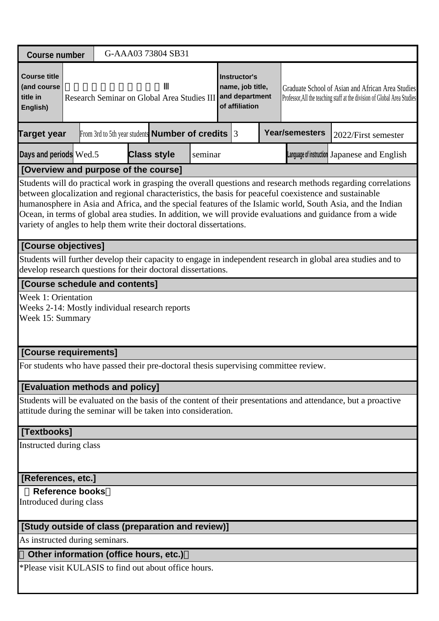| <b>Course number</b>                                                                      |  |                                                                  | G-AAA03 73804 SB31 |  |         |  |                                                                             |  |                       |                                                                                                                                                                                                                                                                                                                                                                                                                                                    |  |
|-------------------------------------------------------------------------------------------|--|------------------------------------------------------------------|--------------------|--|---------|--|-----------------------------------------------------------------------------|--|-----------------------|----------------------------------------------------------------------------------------------------------------------------------------------------------------------------------------------------------------------------------------------------------------------------------------------------------------------------------------------------------------------------------------------------------------------------------------------------|--|
| <b>Course title</b><br>(and course<br>title in<br>English)                                |  | Research Seminar on Global Area Studies III                      |                    |  |         |  | <b>Instructor's</b><br>name, job title,<br>and department<br>of affiliation |  |                       | Graduate School of Asian and African Area Studies<br>Professor, All the teaching staff at the division of Global Area Studies                                                                                                                                                                                                                                                                                                                      |  |
| <b>Target year</b>                                                                        |  | From 3rd to 5th year students <b>Number of credits</b> $\vert$ 3 |                    |  |         |  |                                                                             |  | <b>Year/semesters</b> | 2022/First semester                                                                                                                                                                                                                                                                                                                                                                                                                                |  |
| Days and periods Wed.5                                                                    |  |                                                                  | <b>Class style</b> |  | seminar |  |                                                                             |  |                       | Language of instruction Japanese and English                                                                                                                                                                                                                                                                                                                                                                                                       |  |
| [Overview and purpose of the course]                                                      |  |                                                                  |                    |  |         |  |                                                                             |  |                       |                                                                                                                                                                                                                                                                                                                                                                                                                                                    |  |
| variety of angles to help them write their doctoral dissertations.                        |  |                                                                  |                    |  |         |  |                                                                             |  |                       | Students will do practical work in grasping the overall questions and research methods regarding correlations<br>between glocalization and regional characteristics, the basis for peaceful coexistence and sustainable<br>humanosphere in Asia and Africa, and the special features of the Islamic world, South Asia, and the Indian<br>Ocean, in terms of global area studies. In addition, we will provide evaluations and guidance from a wide |  |
| [Course objectives]                                                                       |  |                                                                  |                    |  |         |  |                                                                             |  |                       |                                                                                                                                                                                                                                                                                                                                                                                                                                                    |  |
| develop research questions for their doctoral dissertations.                              |  |                                                                  |                    |  |         |  |                                                                             |  |                       | Students will further develop their capacity to engage in independent research in global area studies and to                                                                                                                                                                                                                                                                                                                                       |  |
| [Course schedule and contents]                                                            |  |                                                                  |                    |  |         |  |                                                                             |  |                       |                                                                                                                                                                                                                                                                                                                                                                                                                                                    |  |
| Week 1: Orientation<br>Weeks 2-14: Mostly individual research reports<br>Week 15: Summary |  |                                                                  |                    |  |         |  |                                                                             |  |                       |                                                                                                                                                                                                                                                                                                                                                                                                                                                    |  |
| [Course requirements]                                                                     |  |                                                                  |                    |  |         |  |                                                                             |  |                       |                                                                                                                                                                                                                                                                                                                                                                                                                                                    |  |
| For students who have passed their pre-doctoral thesis supervising committee review.      |  |                                                                  |                    |  |         |  |                                                                             |  |                       |                                                                                                                                                                                                                                                                                                                                                                                                                                                    |  |
| [Evaluation methods and policy]                                                           |  |                                                                  |                    |  |         |  |                                                                             |  |                       |                                                                                                                                                                                                                                                                                                                                                                                                                                                    |  |
| attitude during the seminar will be taken into consideration.                             |  |                                                                  |                    |  |         |  |                                                                             |  |                       | Students will be evaluated on the basis of the content of their presentations and attendance, but a proactive                                                                                                                                                                                                                                                                                                                                      |  |
| [Textbooks]                                                                               |  |                                                                  |                    |  |         |  |                                                                             |  |                       |                                                                                                                                                                                                                                                                                                                                                                                                                                                    |  |
| Instructed during class                                                                   |  |                                                                  |                    |  |         |  |                                                                             |  |                       |                                                                                                                                                                                                                                                                                                                                                                                                                                                    |  |
| [References, etc.]                                                                        |  |                                                                  |                    |  |         |  |                                                                             |  |                       |                                                                                                                                                                                                                                                                                                                                                                                                                                                    |  |
| <b>Reference books</b><br>Introduced during class                                         |  |                                                                  |                    |  |         |  |                                                                             |  |                       |                                                                                                                                                                                                                                                                                                                                                                                                                                                    |  |
| [Study outside of class (preparation and review)]                                         |  |                                                                  |                    |  |         |  |                                                                             |  |                       |                                                                                                                                                                                                                                                                                                                                                                                                                                                    |  |
| As instructed during seminars.                                                            |  |                                                                  |                    |  |         |  |                                                                             |  |                       |                                                                                                                                                                                                                                                                                                                                                                                                                                                    |  |
| Other information (office hours, etc.)                                                    |  |                                                                  |                    |  |         |  |                                                                             |  |                       |                                                                                                                                                                                                                                                                                                                                                                                                                                                    |  |
| *Please visit KULASIS to find out about office hours.                                     |  |                                                                  |                    |  |         |  |                                                                             |  |                       |                                                                                                                                                                                                                                                                                                                                                                                                                                                    |  |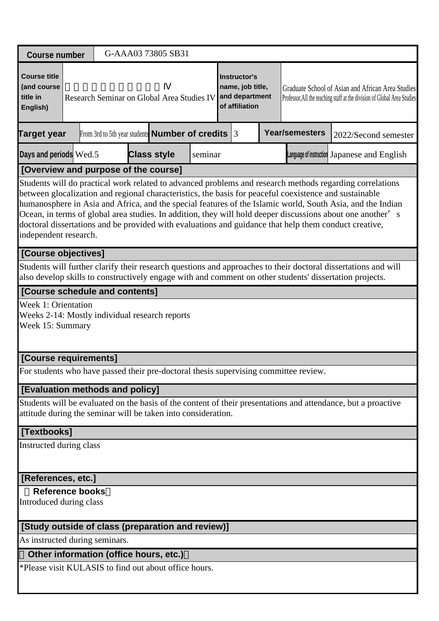| <b>Course number</b>                                                                                                                                                                                                                                                                                                                                                                                                                                                                                                                                                             |  |  |  |  | G-AAA03 73805 SB31                                     |         |  |                                                                             |  |                                                                                      |                                                                                                                               |  |
|----------------------------------------------------------------------------------------------------------------------------------------------------------------------------------------------------------------------------------------------------------------------------------------------------------------------------------------------------------------------------------------------------------------------------------------------------------------------------------------------------------------------------------------------------------------------------------|--|--|--|--|--------------------------------------------------------|---------|--|-----------------------------------------------------------------------------|--|--------------------------------------------------------------------------------------|-------------------------------------------------------------------------------------------------------------------------------|--|
| <b>Course title</b><br>(and course<br>title in<br>English)                                                                                                                                                                                                                                                                                                                                                                                                                                                                                                                       |  |  |  |  | Research Seminar on Global Area Studies IV             |         |  | <b>Instructor's</b><br>name, job title,<br>and department<br>of affiliation |  |                                                                                      | Graduate School of Asian and African Area Studies<br>Professor, All the teaching staff at the division of Global Area Studies |  |
| Target year                                                                                                                                                                                                                                                                                                                                                                                                                                                                                                                                                                      |  |  |  |  | From 3rd to 5th year students <b>Number of credits</b> |         |  | 3                                                                           |  | <b>Year/semesters</b>                                                                | 2022/Second semester                                                                                                          |  |
| Days and periods Wed.5                                                                                                                                                                                                                                                                                                                                                                                                                                                                                                                                                           |  |  |  |  | <b>Class style</b>                                     | seminar |  |                                                                             |  |                                                                                      | Language of instruction Japanese and English                                                                                  |  |
| [Overview and purpose of the course]                                                                                                                                                                                                                                                                                                                                                                                                                                                                                                                                             |  |  |  |  |                                                        |         |  |                                                                             |  |                                                                                      |                                                                                                                               |  |
| Students will do practical work related to advanced problems and research methods regarding correlations<br>between glocalization and regional characteristics, the basis for peaceful coexistence and sustainable<br>humanosphere in Asia and Africa, and the special features of the Islamic world, South Asia, and the Indian<br>Ocean, in terms of global area studies. In addition, they will hold deeper discussions about one another's<br>doctoral dissertations and be provided with evaluations and guidance that help them conduct creative,<br>independent research. |  |  |  |  |                                                        |         |  |                                                                             |  |                                                                                      |                                                                                                                               |  |
| [Course objectives]                                                                                                                                                                                                                                                                                                                                                                                                                                                                                                                                                              |  |  |  |  |                                                        |         |  |                                                                             |  |                                                                                      |                                                                                                                               |  |
| Students will further clarify their research questions and approaches to their doctoral dissertations and will<br>also develop skills to constructively engage with and comment on other students' dissertation projects.                                                                                                                                                                                                                                                                                                                                                        |  |  |  |  |                                                        |         |  |                                                                             |  |                                                                                      |                                                                                                                               |  |
| [Course schedule and contents]                                                                                                                                                                                                                                                                                                                                                                                                                                                                                                                                                   |  |  |  |  |                                                        |         |  |                                                                             |  |                                                                                      |                                                                                                                               |  |
| Week 1: Orientation<br>Weeks 2-14: Mostly individual research reports<br>Week 15: Summary                                                                                                                                                                                                                                                                                                                                                                                                                                                                                        |  |  |  |  |                                                        |         |  |                                                                             |  |                                                                                      |                                                                                                                               |  |
| [Course requirements]                                                                                                                                                                                                                                                                                                                                                                                                                                                                                                                                                            |  |  |  |  |                                                        |         |  |                                                                             |  |                                                                                      |                                                                                                                               |  |
|                                                                                                                                                                                                                                                                                                                                                                                                                                                                                                                                                                                  |  |  |  |  |                                                        |         |  |                                                                             |  | For students who have passed their pre-doctoral thesis supervising committee review. |                                                                                                                               |  |
| [Evaluation methods and policy]                                                                                                                                                                                                                                                                                                                                                                                                                                                                                                                                                  |  |  |  |  |                                                        |         |  |                                                                             |  |                                                                                      |                                                                                                                               |  |
| attitude during the seminar will be taken into consideration.                                                                                                                                                                                                                                                                                                                                                                                                                                                                                                                    |  |  |  |  |                                                        |         |  |                                                                             |  |                                                                                      | Students will be evaluated on the basis of the content of their presentations and attendance, but a proactive                 |  |
| [Textbooks]                                                                                                                                                                                                                                                                                                                                                                                                                                                                                                                                                                      |  |  |  |  |                                                        |         |  |                                                                             |  |                                                                                      |                                                                                                                               |  |
| Instructed during class                                                                                                                                                                                                                                                                                                                                                                                                                                                                                                                                                          |  |  |  |  |                                                        |         |  |                                                                             |  |                                                                                      |                                                                                                                               |  |
| [References, etc.]                                                                                                                                                                                                                                                                                                                                                                                                                                                                                                                                                               |  |  |  |  |                                                        |         |  |                                                                             |  |                                                                                      |                                                                                                                               |  |
| <b>Reference books</b><br>Introduced during class                                                                                                                                                                                                                                                                                                                                                                                                                                                                                                                                |  |  |  |  |                                                        |         |  |                                                                             |  |                                                                                      |                                                                                                                               |  |
| [Study outside of class (preparation and review)]                                                                                                                                                                                                                                                                                                                                                                                                                                                                                                                                |  |  |  |  |                                                        |         |  |                                                                             |  |                                                                                      |                                                                                                                               |  |
| As instructed during seminars.                                                                                                                                                                                                                                                                                                                                                                                                                                                                                                                                                   |  |  |  |  |                                                        |         |  |                                                                             |  |                                                                                      |                                                                                                                               |  |
| Other information (office hours, etc.)                                                                                                                                                                                                                                                                                                                                                                                                                                                                                                                                           |  |  |  |  |                                                        |         |  |                                                                             |  |                                                                                      |                                                                                                                               |  |
| *Please visit KULASIS to find out about office hours.                                                                                                                                                                                                                                                                                                                                                                                                                                                                                                                            |  |  |  |  |                                                        |         |  |                                                                             |  |                                                                                      |                                                                                                                               |  |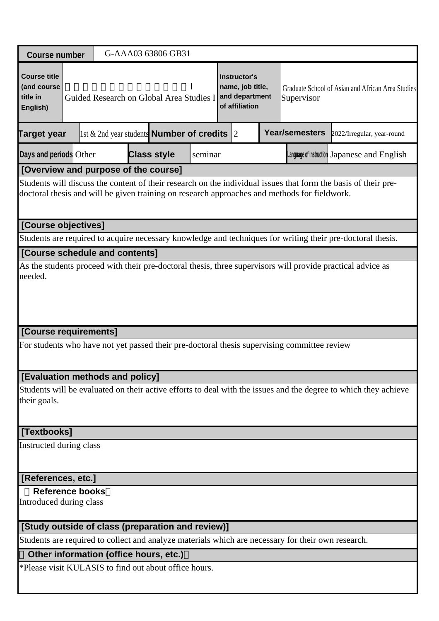| <b>Course number</b>                                                                                                  |                                                                                                                                                                                                                |  |  | G-AAA03 63806 GB31                                 |         |  |                                                                             |  |                                                                                                    |                                                                                                                 |  |  |
|-----------------------------------------------------------------------------------------------------------------------|----------------------------------------------------------------------------------------------------------------------------------------------------------------------------------------------------------------|--|--|----------------------------------------------------|---------|--|-----------------------------------------------------------------------------|--|----------------------------------------------------------------------------------------------------|-----------------------------------------------------------------------------------------------------------------|--|--|
| <b>Course title</b><br>(and course<br>title in<br>English)                                                            |                                                                                                                                                                                                                |  |  | Guided Research on Global Area Studies I           |         |  | <b>Instructor's</b><br>name, job title,<br>and department<br>of affiliation |  | Supervisor                                                                                         | Graduate School of Asian and African Area Studies                                                               |  |  |
| <b>Target year</b>                                                                                                    |                                                                                                                                                                                                                |  |  | 1st & 2nd year students <b>Number of credits</b> 2 |         |  |                                                                             |  | <b>Year/semesters</b>                                                                              | 2022/Irregular, year-round                                                                                      |  |  |
| Days and periods Other                                                                                                |                                                                                                                                                                                                                |  |  | <b>Class style</b>                                 | seminar |  |                                                                             |  |                                                                                                    | Language of instruction Japanese and English                                                                    |  |  |
| [Overview and purpose of the course]                                                                                  |                                                                                                                                                                                                                |  |  |                                                    |         |  |                                                                             |  |                                                                                                    |                                                                                                                 |  |  |
|                                                                                                                       | Students will discuss the content of their research on the individual issues that form the basis of their pre-<br>doctoral thesis and will be given training on research approaches and methods for fieldwork. |  |  |                                                    |         |  |                                                                             |  |                                                                                                    |                                                                                                                 |  |  |
| [Course objectives]                                                                                                   |                                                                                                                                                                                                                |  |  |                                                    |         |  |                                                                             |  |                                                                                                    |                                                                                                                 |  |  |
| Students are required to acquire necessary knowledge and techniques for writing their pre-doctoral thesis.            |                                                                                                                                                                                                                |  |  |                                                    |         |  |                                                                             |  |                                                                                                    |                                                                                                                 |  |  |
| [Course schedule and contents]                                                                                        |                                                                                                                                                                                                                |  |  |                                                    |         |  |                                                                             |  |                                                                                                    |                                                                                                                 |  |  |
| As the students proceed with their pre-doctoral thesis, three supervisors will provide practical advice as<br>needed. |                                                                                                                                                                                                                |  |  |                                                    |         |  |                                                                             |  |                                                                                                    |                                                                                                                 |  |  |
| [Course requirements]                                                                                                 |                                                                                                                                                                                                                |  |  |                                                    |         |  |                                                                             |  |                                                                                                    |                                                                                                                 |  |  |
|                                                                                                                       |                                                                                                                                                                                                                |  |  |                                                    |         |  |                                                                             |  | For students who have not yet passed their pre-doctoral thesis supervising committee review        |                                                                                                                 |  |  |
| [Evaluation methods and policy]                                                                                       |                                                                                                                                                                                                                |  |  |                                                    |         |  |                                                                             |  |                                                                                                    |                                                                                                                 |  |  |
| their goals.                                                                                                          |                                                                                                                                                                                                                |  |  |                                                    |         |  |                                                                             |  |                                                                                                    | Students will be evaluated on their active efforts to deal with the issues and the degree to which they achieve |  |  |
| [Textbooks]                                                                                                           |                                                                                                                                                                                                                |  |  |                                                    |         |  |                                                                             |  |                                                                                                    |                                                                                                                 |  |  |
| Instructed during class                                                                                               |                                                                                                                                                                                                                |  |  |                                                    |         |  |                                                                             |  |                                                                                                    |                                                                                                                 |  |  |
| [References, etc.]                                                                                                    |                                                                                                                                                                                                                |  |  |                                                    |         |  |                                                                             |  |                                                                                                    |                                                                                                                 |  |  |
| <b>Reference books</b>                                                                                                |                                                                                                                                                                                                                |  |  |                                                    |         |  |                                                                             |  |                                                                                                    |                                                                                                                 |  |  |
| Introduced during class                                                                                               |                                                                                                                                                                                                                |  |  |                                                    |         |  |                                                                             |  |                                                                                                    |                                                                                                                 |  |  |
| [Study outside of class (preparation and review)]                                                                     |                                                                                                                                                                                                                |  |  |                                                    |         |  |                                                                             |  |                                                                                                    |                                                                                                                 |  |  |
|                                                                                                                       |                                                                                                                                                                                                                |  |  |                                                    |         |  |                                                                             |  | Students are required to collect and analyze materials which are necessary for their own research. |                                                                                                                 |  |  |
|                                                                                                                       |                                                                                                                                                                                                                |  |  | Other information (office hours, etc.)             |         |  |                                                                             |  |                                                                                                    |                                                                                                                 |  |  |
| *Please visit KULASIS to find out about office hours.                                                                 |                                                                                                                                                                                                                |  |  |                                                    |         |  |                                                                             |  |                                                                                                    |                                                                                                                 |  |  |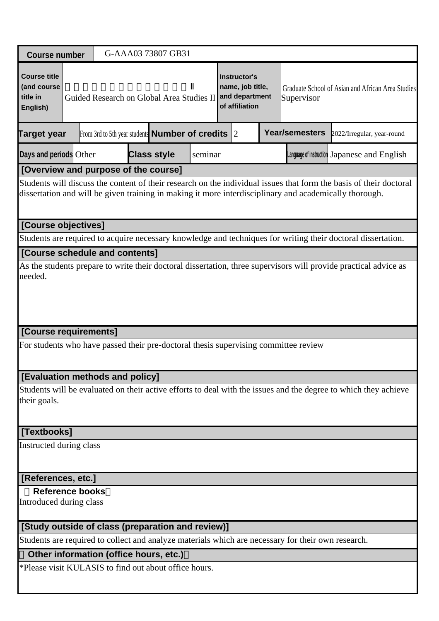| <b>Course number</b>                                                                                                        |                                                                                                                                                                                                                              |  |  |  | G-AAA03 73807 GB31                                               |         |  |                                                                             |  |                                                                                                    |                                                                                                                 |  |
|-----------------------------------------------------------------------------------------------------------------------------|------------------------------------------------------------------------------------------------------------------------------------------------------------------------------------------------------------------------------|--|--|--|------------------------------------------------------------------|---------|--|-----------------------------------------------------------------------------|--|----------------------------------------------------------------------------------------------------|-----------------------------------------------------------------------------------------------------------------|--|
| <b>Course title</b><br>(and course<br>title in<br>English)                                                                  |                                                                                                                                                                                                                              |  |  |  | Guided Research on Global Area Studies II                        |         |  | <b>Instructor's</b><br>name, job title,<br>and department<br>of affiliation |  | Supervisor                                                                                         | Graduate School of Asian and African Area Studies                                                               |  |
| <b>Target year</b>                                                                                                          |                                                                                                                                                                                                                              |  |  |  | From 3rd to 5th year students <b>Number of credits</b> $\vert$ 2 |         |  |                                                                             |  | <b>Year/semesters</b>                                                                              | 2022/Irregular, year-round                                                                                      |  |
| Days and periods Other                                                                                                      |                                                                                                                                                                                                                              |  |  |  | <b>Class style</b>                                               | seminar |  |                                                                             |  |                                                                                                    | Language of instruction Japanese and English                                                                    |  |
| [Overview and purpose of the course]                                                                                        |                                                                                                                                                                                                                              |  |  |  |                                                                  |         |  |                                                                             |  |                                                                                                    |                                                                                                                 |  |
|                                                                                                                             | Students will discuss the content of their research on the individual issues that form the basis of their doctoral<br>dissertation and will be given training in making it more interdisciplinary and academically thorough. |  |  |  |                                                                  |         |  |                                                                             |  |                                                                                                    |                                                                                                                 |  |
| [Course objectives]                                                                                                         |                                                                                                                                                                                                                              |  |  |  |                                                                  |         |  |                                                                             |  |                                                                                                    |                                                                                                                 |  |
| Students are required to acquire necessary knowledge and techniques for writing their doctoral dissertation.                |                                                                                                                                                                                                                              |  |  |  |                                                                  |         |  |                                                                             |  |                                                                                                    |                                                                                                                 |  |
| [Course schedule and contents]                                                                                              |                                                                                                                                                                                                                              |  |  |  |                                                                  |         |  |                                                                             |  |                                                                                                    |                                                                                                                 |  |
| As the students prepare to write their doctoral dissertation, three supervisors will provide practical advice as<br>needed. |                                                                                                                                                                                                                              |  |  |  |                                                                  |         |  |                                                                             |  |                                                                                                    |                                                                                                                 |  |
| [Course requirements]                                                                                                       |                                                                                                                                                                                                                              |  |  |  |                                                                  |         |  |                                                                             |  |                                                                                                    |                                                                                                                 |  |
| For students who have passed their pre-doctoral thesis supervising committee review                                         |                                                                                                                                                                                                                              |  |  |  |                                                                  |         |  |                                                                             |  |                                                                                                    |                                                                                                                 |  |
| [Evaluation methods and policy]                                                                                             |                                                                                                                                                                                                                              |  |  |  |                                                                  |         |  |                                                                             |  |                                                                                                    |                                                                                                                 |  |
| their goals.                                                                                                                |                                                                                                                                                                                                                              |  |  |  |                                                                  |         |  |                                                                             |  |                                                                                                    | Students will be evaluated on their active efforts to deal with the issues and the degree to which they achieve |  |
| [Textbooks]                                                                                                                 |                                                                                                                                                                                                                              |  |  |  |                                                                  |         |  |                                                                             |  |                                                                                                    |                                                                                                                 |  |
| Instructed during class                                                                                                     |                                                                                                                                                                                                                              |  |  |  |                                                                  |         |  |                                                                             |  |                                                                                                    |                                                                                                                 |  |
| [References, etc.]                                                                                                          |                                                                                                                                                                                                                              |  |  |  |                                                                  |         |  |                                                                             |  |                                                                                                    |                                                                                                                 |  |
| <b>Reference books</b><br>Introduced during class                                                                           |                                                                                                                                                                                                                              |  |  |  |                                                                  |         |  |                                                                             |  |                                                                                                    |                                                                                                                 |  |
| [Study outside of class (preparation and review)]                                                                           |                                                                                                                                                                                                                              |  |  |  |                                                                  |         |  |                                                                             |  |                                                                                                    |                                                                                                                 |  |
|                                                                                                                             |                                                                                                                                                                                                                              |  |  |  |                                                                  |         |  |                                                                             |  | Students are required to collect and analyze materials which are necessary for their own research. |                                                                                                                 |  |
| Other information (office hours, etc.)                                                                                      |                                                                                                                                                                                                                              |  |  |  |                                                                  |         |  |                                                                             |  |                                                                                                    |                                                                                                                 |  |
| *Please visit KULASIS to find out about office hours.                                                                       |                                                                                                                                                                                                                              |  |  |  |                                                                  |         |  |                                                                             |  |                                                                                                    |                                                                                                                 |  |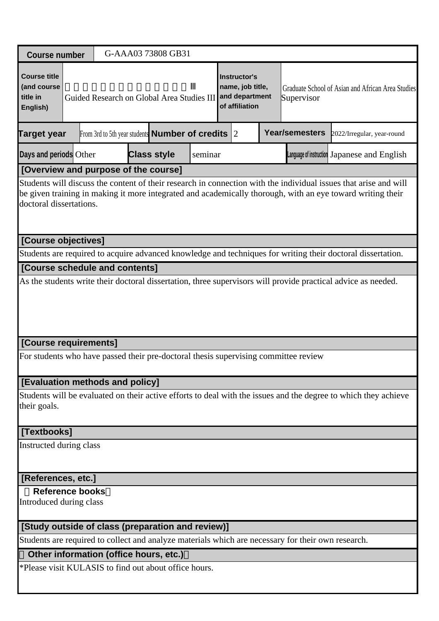| <b>Course number</b>                                                                                                                                                                                                                                                                              |                                                                                                                    | G-AAA03 73808 GB31 |  |  |  |  |  |                                              |                                                                                                    |                                                                                                             |  |  |  |
|---------------------------------------------------------------------------------------------------------------------------------------------------------------------------------------------------------------------------------------------------------------------------------------------------|--------------------------------------------------------------------------------------------------------------------|--------------------|--|--|--|--|--|----------------------------------------------|----------------------------------------------------------------------------------------------------|-------------------------------------------------------------------------------------------------------------|--|--|--|
| <b>Course title</b><br>(and course<br>title in<br>English)                                                                                                                                                                                                                                        | Instructor's<br>name, job title,<br>and department<br>Guided Research on Global Area Studies III<br>of affiliation |                    |  |  |  |  |  |                                              | Graduate School of Asian and African Area Studies<br>Supervisor                                    |                                                                                                             |  |  |  |
| <b>Year/semesters</b><br><b>Target year</b><br>From 3rd to 5th year students <b>Number of credits</b> $ 2 $<br>2022/Irregular, year-round                                                                                                                                                         |                                                                                                                    |                    |  |  |  |  |  |                                              |                                                                                                    |                                                                                                             |  |  |  |
| Days and periods Other<br><b>Class style</b><br>seminar                                                                                                                                                                                                                                           |                                                                                                                    |                    |  |  |  |  |  | Language of instruction Japanese and English |                                                                                                    |                                                                                                             |  |  |  |
| [Overview and purpose of the course]<br>Students will discuss the content of their research in connection with the individual issues that arise and will<br>be given training in making it more integrated and academically thorough, with an eye toward writing their<br>doctoral dissertations. |                                                                                                                    |                    |  |  |  |  |  |                                              |                                                                                                    |                                                                                                             |  |  |  |
| [Course objectives]                                                                                                                                                                                                                                                                               |                                                                                                                    |                    |  |  |  |  |  |                                              |                                                                                                    |                                                                                                             |  |  |  |
| [Course schedule and contents]                                                                                                                                                                                                                                                                    |                                                                                                                    |                    |  |  |  |  |  |                                              |                                                                                                    | Students are required to acquire advanced knowledge and techniques for writing their doctoral dissertation. |  |  |  |
|                                                                                                                                                                                                                                                                                                   |                                                                                                                    |                    |  |  |  |  |  |                                              |                                                                                                    |                                                                                                             |  |  |  |
| [Course requirements]<br>For students who have passed their pre-doctoral thesis supervising committee review                                                                                                                                                                                      |                                                                                                                    |                    |  |  |  |  |  |                                              |                                                                                                    |                                                                                                             |  |  |  |
|                                                                                                                                                                                                                                                                                                   |                                                                                                                    |                    |  |  |  |  |  |                                              |                                                                                                    |                                                                                                             |  |  |  |
| [Evaluation methods and policy]<br>Students will be evaluated on their active efforts to deal with the issues and the degree to which they achieve<br>their goals.                                                                                                                                |                                                                                                                    |                    |  |  |  |  |  |                                              |                                                                                                    |                                                                                                             |  |  |  |
| [Textbooks]                                                                                                                                                                                                                                                                                       |                                                                                                                    |                    |  |  |  |  |  |                                              |                                                                                                    |                                                                                                             |  |  |  |
| Instructed during class                                                                                                                                                                                                                                                                           |                                                                                                                    |                    |  |  |  |  |  |                                              |                                                                                                    |                                                                                                             |  |  |  |
| [References, etc.]                                                                                                                                                                                                                                                                                |                                                                                                                    |                    |  |  |  |  |  |                                              |                                                                                                    |                                                                                                             |  |  |  |
| <b>Reference books</b><br>Introduced during class                                                                                                                                                                                                                                                 |                                                                                                                    |                    |  |  |  |  |  |                                              |                                                                                                    |                                                                                                             |  |  |  |
| [Study outside of class (preparation and review)]                                                                                                                                                                                                                                                 |                                                                                                                    |                    |  |  |  |  |  |                                              |                                                                                                    |                                                                                                             |  |  |  |
|                                                                                                                                                                                                                                                                                                   |                                                                                                                    |                    |  |  |  |  |  |                                              | Students are required to collect and analyze materials which are necessary for their own research. |                                                                                                             |  |  |  |
| Other information (office hours, etc.)                                                                                                                                                                                                                                                            |                                                                                                                    |                    |  |  |  |  |  |                                              |                                                                                                    |                                                                                                             |  |  |  |
| *Please visit KULASIS to find out about office hours.                                                                                                                                                                                                                                             |                                                                                                                    |                    |  |  |  |  |  |                                              |                                                                                                    |                                                                                                             |  |  |  |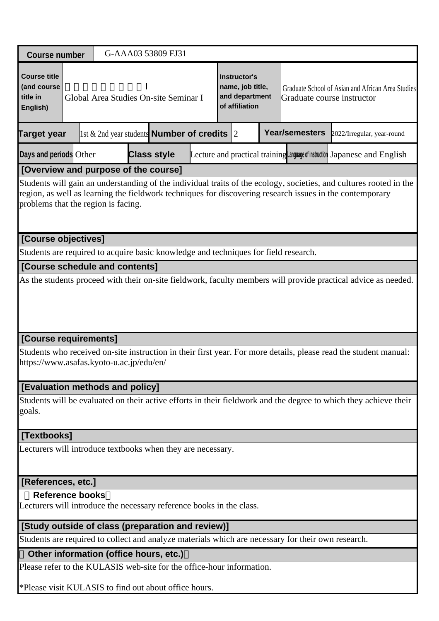| <b>Course number</b>                                                                                                                                                                                                                                                  |                                                                                                                                                              |  | G-AAA03 53809 FJ31                                                                                 |  |                                                                      |  |  |                                                                                 |                            |  |  |  |
|-----------------------------------------------------------------------------------------------------------------------------------------------------------------------------------------------------------------------------------------------------------------------|--------------------------------------------------------------------------------------------------------------------------------------------------------------|--|----------------------------------------------------------------------------------------------------|--|----------------------------------------------------------------------|--|--|---------------------------------------------------------------------------------|----------------------------|--|--|--|
| <b>Course title</b><br>(and course<br>title in<br>English)                                                                                                                                                                                                            |                                                                                                                                                              |  | Global Area Studies On-site Seminar I                                                              |  | Instructor's<br>name, job title,<br>and department<br>of affiliation |  |  | Graduate School of Asian and African Area Studies<br>Graduate course instructor |                            |  |  |  |
| <b>Target year</b>                                                                                                                                                                                                                                                    |                                                                                                                                                              |  | 1st & 2nd year students <b>Number of credits</b> 2                                                 |  |                                                                      |  |  | Year/semesters                                                                  | 2022/Irregular, year-round |  |  |  |
| <b>Class style</b><br>Days and periods Other<br>Lecture and practical training Language of instruction Japanese and English                                                                                                                                           |                                                                                                                                                              |  |                                                                                                    |  |                                                                      |  |  |                                                                                 |                            |  |  |  |
| [Overview and purpose of the course]                                                                                                                                                                                                                                  |                                                                                                                                                              |  |                                                                                                    |  |                                                                      |  |  |                                                                                 |                            |  |  |  |
| Students will gain an understanding of the individual traits of the ecology, societies, and cultures rooted in the<br>region, as well as learning the fieldwork techniques for discovering research issues in the contemporary<br>problems that the region is facing. |                                                                                                                                                              |  |                                                                                                    |  |                                                                      |  |  |                                                                                 |                            |  |  |  |
|                                                                                                                                                                                                                                                                       | [Course objectives]                                                                                                                                          |  |                                                                                                    |  |                                                                      |  |  |                                                                                 |                            |  |  |  |
|                                                                                                                                                                                                                                                                       |                                                                                                                                                              |  | Students are required to acquire basic knowledge and techniques for field research.                |  |                                                                      |  |  |                                                                                 |                            |  |  |  |
| [Course schedule and contents]                                                                                                                                                                                                                                        |                                                                                                                                                              |  |                                                                                                    |  |                                                                      |  |  |                                                                                 |                            |  |  |  |
| As the students proceed with their on-site fieldwork, faculty members will provide practical advice as needed.                                                                                                                                                        |                                                                                                                                                              |  |                                                                                                    |  |                                                                      |  |  |                                                                                 |                            |  |  |  |
| [Course requirements]                                                                                                                                                                                                                                                 |                                                                                                                                                              |  |                                                                                                    |  |                                                                      |  |  |                                                                                 |                            |  |  |  |
|                                                                                                                                                                                                                                                                       | Students who received on-site instruction in their first year. For more details, please read the student manual:<br>https://www.asafas.kyoto-u.ac.jp/edu/en/ |  |                                                                                                    |  |                                                                      |  |  |                                                                                 |                            |  |  |  |
|                                                                                                                                                                                                                                                                       |                                                                                                                                                              |  |                                                                                                    |  |                                                                      |  |  |                                                                                 |                            |  |  |  |
| goals.                                                                                                                                                                                                                                                                | [Evaluation methods and policy]<br>Students will be evaluated on their active efforts in their fieldwork and the degree to which they achieve their          |  |                                                                                                    |  |                                                                      |  |  |                                                                                 |                            |  |  |  |
| [Textbooks]                                                                                                                                                                                                                                                           |                                                                                                                                                              |  |                                                                                                    |  |                                                                      |  |  |                                                                                 |                            |  |  |  |
| Lecturers will introduce textbooks when they are necessary.                                                                                                                                                                                                           |                                                                                                                                                              |  |                                                                                                    |  |                                                                      |  |  |                                                                                 |                            |  |  |  |
|                                                                                                                                                                                                                                                                       | [References, etc.]                                                                                                                                           |  |                                                                                                    |  |                                                                      |  |  |                                                                                 |                            |  |  |  |
| <b>Reference books</b><br>Lecturers will introduce the necessary reference books in the class.                                                                                                                                                                        |                                                                                                                                                              |  |                                                                                                    |  |                                                                      |  |  |                                                                                 |                            |  |  |  |
|                                                                                                                                                                                                                                                                       |                                                                                                                                                              |  | [Study outside of class (preparation and review)]                                                  |  |                                                                      |  |  |                                                                                 |                            |  |  |  |
|                                                                                                                                                                                                                                                                       |                                                                                                                                                              |  | Students are required to collect and analyze materials which are necessary for their own research. |  |                                                                      |  |  |                                                                                 |                            |  |  |  |
|                                                                                                                                                                                                                                                                       |                                                                                                                                                              |  | Other information (office hours, etc.)                                                             |  |                                                                      |  |  |                                                                                 |                            |  |  |  |
|                                                                                                                                                                                                                                                                       |                                                                                                                                                              |  | Please refer to the KULASIS web-site for the office-hour information.                              |  |                                                                      |  |  |                                                                                 |                            |  |  |  |
|                                                                                                                                                                                                                                                                       |                                                                                                                                                              |  | *Please visit KULASIS to find out about office hours.                                              |  |                                                                      |  |  |                                                                                 |                            |  |  |  |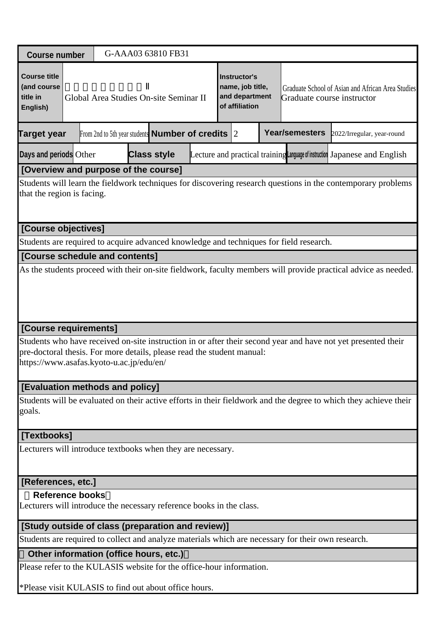|                                                                                                                                                                                                                                     |                                        |  | G-AAA03 63810 FB31 |  |  |  |  |  |                                                                      |                            |                                                                                                    |                                                                                                                  |  |
|-------------------------------------------------------------------------------------------------------------------------------------------------------------------------------------------------------------------------------------|----------------------------------------|--|--------------------|--|--|--|--|--|----------------------------------------------------------------------|----------------------------|----------------------------------------------------------------------------------------------------|------------------------------------------------------------------------------------------------------------------|--|
| <b>Course number</b>                                                                                                                                                                                                                |                                        |  |                    |  |  |  |  |  |                                                                      |                            |                                                                                                    |                                                                                                                  |  |
| <b>Course title</b><br>(and course<br>title in<br>English)                                                                                                                                                                          | Global Area Studies On-site Seminar II |  |                    |  |  |  |  |  | Instructor's<br>name, job title,<br>and department<br>of affiliation |                            | Graduate School of Asian and African Area Studies<br>Graduate course instructor                    |                                                                                                                  |  |
| Year/semesters<br>From 2nd to 5th year students <b>Number of credits</b> $ 2 $<br>Target year                                                                                                                                       |                                        |  |                    |  |  |  |  |  |                                                                      | 2022/Irregular, year-round |                                                                                                    |                                                                                                                  |  |
| Days and periods Other<br><b>Class style</b><br>Lecture and practical training Language of instruction Japanese and English                                                                                                         |                                        |  |                    |  |  |  |  |  |                                                                      |                            |                                                                                                    |                                                                                                                  |  |
| [Overview and purpose of the course]                                                                                                                                                                                                |                                        |  |                    |  |  |  |  |  |                                                                      |                            |                                                                                                    |                                                                                                                  |  |
| Students will learn the fieldwork techniques for discovering research questions in the contemporary problems<br>that the region is facing.                                                                                          |                                        |  |                    |  |  |  |  |  |                                                                      |                            |                                                                                                    |                                                                                                                  |  |
|                                                                                                                                                                                                                                     | [Course objectives]                    |  |                    |  |  |  |  |  |                                                                      |                            |                                                                                                    |                                                                                                                  |  |
|                                                                                                                                                                                                                                     |                                        |  |                    |  |  |  |  |  |                                                                      |                            | Students are required to acquire advanced knowledge and techniques for field research.             |                                                                                                                  |  |
|                                                                                                                                                                                                                                     | [Course schedule and contents]         |  |                    |  |  |  |  |  |                                                                      |                            |                                                                                                    |                                                                                                                  |  |
| As the students proceed with their on-site fieldwork, faculty members will provide practical advice as needed.                                                                                                                      |                                        |  |                    |  |  |  |  |  |                                                                      |                            |                                                                                                    |                                                                                                                  |  |
| [Course requirements]                                                                                                                                                                                                               |                                        |  |                    |  |  |  |  |  |                                                                      |                            |                                                                                                    |                                                                                                                  |  |
| Students who have received on-site instruction in or after their second year and have not yet presented their<br>pre-doctoral thesis. For more details, please read the student manual:<br>https://www.asafas.kyoto-u.ac.jp/edu/en/ |                                        |  |                    |  |  |  |  |  |                                                                      |                            |                                                                                                    |                                                                                                                  |  |
| [Evaluation methods and policy]                                                                                                                                                                                                     |                                        |  |                    |  |  |  |  |  |                                                                      |                            |                                                                                                    |                                                                                                                  |  |
| goals.                                                                                                                                                                                                                              |                                        |  |                    |  |  |  |  |  |                                                                      |                            |                                                                                                    | Students will be evaluated on their active efforts in their fieldwork and the degree to which they achieve their |  |
| [Textbooks]                                                                                                                                                                                                                         |                                        |  |                    |  |  |  |  |  |                                                                      |                            |                                                                                                    |                                                                                                                  |  |
| Lecturers will introduce textbooks when they are necessary.                                                                                                                                                                         |                                        |  |                    |  |  |  |  |  |                                                                      |                            |                                                                                                    |                                                                                                                  |  |
| [References, etc.]                                                                                                                                                                                                                  |                                        |  |                    |  |  |  |  |  |                                                                      |                            |                                                                                                    |                                                                                                                  |  |
| <b>Reference books</b><br>Lecturers will introduce the necessary reference books in the class.                                                                                                                                      |                                        |  |                    |  |  |  |  |  |                                                                      |                            |                                                                                                    |                                                                                                                  |  |
| [Study outside of class (preparation and review)]                                                                                                                                                                                   |                                        |  |                    |  |  |  |  |  |                                                                      |                            |                                                                                                    |                                                                                                                  |  |
|                                                                                                                                                                                                                                     |                                        |  |                    |  |  |  |  |  |                                                                      |                            | Students are required to collect and analyze materials which are necessary for their own research. |                                                                                                                  |  |
| Other information (office hours, etc.)                                                                                                                                                                                              |                                        |  |                    |  |  |  |  |  |                                                                      |                            |                                                                                                    |                                                                                                                  |  |
| Please refer to the KULASIS website for the office-hour information.                                                                                                                                                                |                                        |  |                    |  |  |  |  |  |                                                                      |                            |                                                                                                    |                                                                                                                  |  |